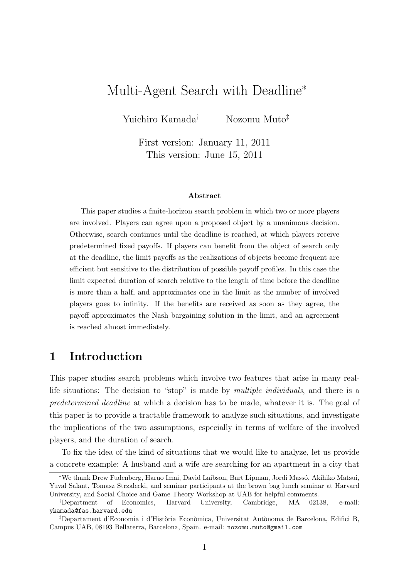# Multi-Agent Search with Deadline*<sup>∗</sup>*

Yuichiro Kamada*†* Nozomu Muto*‡*

First version: January 11, 2011 This version: June 15, 2011

#### **Abstract**

This paper studies a finite-horizon search problem in which two or more players are involved. Players can agree upon a proposed object by a unanimous decision. Otherwise, search continues until the deadline is reached, at which players receive predetermined fixed payoffs. If players can benefit from the object of search only at the deadline, the limit payoffs as the realizations of objects become frequent are efficient but sensitive to the distribution of possible payoff profiles. In this case the limit expected duration of search relative to the length of time before the deadline is more than a half, and approximates one in the limit as the number of involved players goes to infinity. If the benefits are received as soon as they agree, the payoff approximates the Nash bargaining solution in the limit, and an agreement is reached almost immediately.

## **1 Introduction**

This paper studies search problems which involve two features that arise in many reallife situations: The decision to "stop" is made by *multiple individuals*, and there is a *predetermined deadline* at which a decision has to be made, whatever it is. The goal of this paper is to provide a tractable framework to analyze such situations, and investigate the implications of the two assumptions, especially in terms of welfare of the involved players, and the duration of search.

To fix the idea of the kind of situations that we would like to analyze, let us provide a concrete example: A husband and a wife are searching for an apartment in a city that

*<sup>\*</sup>We thank Drew Fudenberg, Haruo Imai, David Laibson, Bart Lipman, Jordi Massó, Akihiko Matsui,* Yuval Salant, Tomasz Strzalecki, and seminar participants at the brown bag lunch seminar at Harvard University, and Social Choice and Game Theory Workshop at UAB for helpful comments.

*<sup>†</sup>*Department of Economics, Harvard University, Cambridge, MA 02138, e-mail: ykamada@fas.harvard.edu

<sup>&</sup>lt;sup>‡</sup>Departament d'Economia i d'Història Econòmica, Universitat Autònoma de Barcelona, Edifici B, Campus UAB, 08193 Bellaterra, Barcelona, Spain. e-mail: nozomu.muto@gmail.com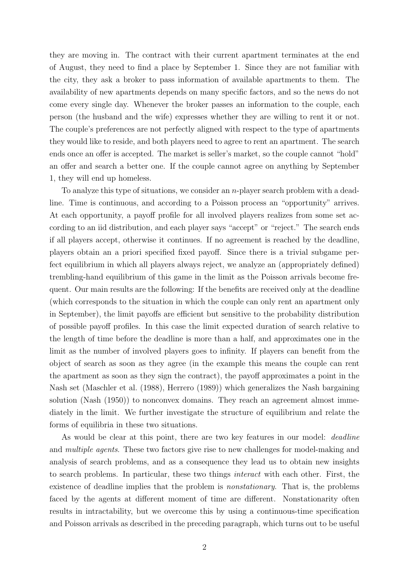they are moving in. The contract with their current apartment terminates at the end of August, they need to find a place by September 1. Since they are not familiar with the city, they ask a broker to pass information of available apartments to them. The availability of new apartments depends on many specific factors, and so the news do not come every single day. Whenever the broker passes an information to the couple, each person (the husband and the wife) expresses whether they are willing to rent it or not. The couple's preferences are not perfectly aligned with respect to the type of apartments they would like to reside, and both players need to agree to rent an apartment. The search ends once an offer is accepted. The market is seller's market, so the couple cannot "hold" an offer and search a better one. If the couple cannot agree on anything by September 1, they will end up homeless.

To analyze this type of situations, we consider an *n*-player search problem with a deadline. Time is continuous, and according to a Poisson process an "opportunity" arrives. At each opportunity, a payoff profile for all involved players realizes from some set according to an iid distribution, and each player says "accept" or "reject." The search ends if all players accept, otherwise it continues. If no agreement is reached by the deadline, players obtain an a priori specified fixed payoff. Since there is a trivial subgame perfect equilibrium in which all players always reject, we analyze an (appropriately defined) trembling-hand equilibrium of this game in the limit as the Poisson arrivals become frequent. Our main results are the following: If the benefits are received only at the deadline (which corresponds to the situation in which the couple can only rent an apartment only in September), the limit payoffs are efficient but sensitive to the probability distribution of possible payoff profiles. In this case the limit expected duration of search relative to the length of time before the deadline is more than a half, and approximates one in the limit as the number of involved players goes to infinity. If players can benefit from the object of search as soon as they agree (in the example this means the couple can rent the apartment as soon as they sign the contract), the payoff approximates a point in the Nash set (Maschler et al. (1988), Herrero (1989)) which generalizes the Nash bargaining solution (Nash (1950)) to nonconvex domains. They reach an agreement almost immediately in the limit. We further investigate the structure of equilibrium and relate the forms of equilibria in these two situations.

As would be clear at this point, there are two key features in our model: *deadline* and *multiple agents*. These two factors give rise to new challenges for model-making and analysis of search problems, and as a consequence they lead us to obtain new insights to search problems. In particular, these two things *interact* with each other. First, the existence of deadline implies that the problem is *nonstationary*. That is, the problems faced by the agents at different moment of time are different. Nonstationarity often results in intractability, but we overcome this by using a continuous-time specification and Poisson arrivals as described in the preceding paragraph, which turns out to be useful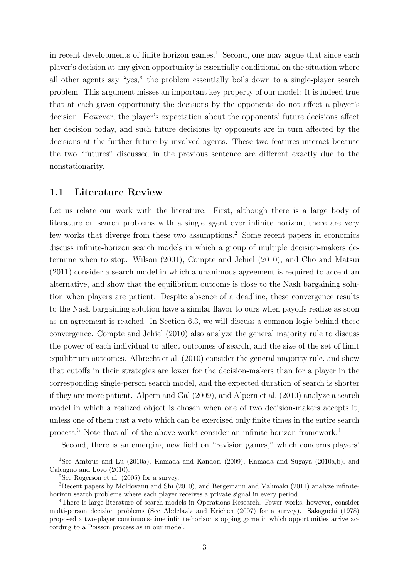in recent developments of finite horizon games.<sup>1</sup> Second, one may argue that since each player's decision at any given opportunity is essentially conditional on the situation where all other agents say "yes," the problem essentially boils down to a single-player search problem. This argument misses an important key property of our model: It is indeed true that at each given opportunity the decisions by the opponents do not affect a player's decision. However, the player's expectation about the opponents' future decisions affect her decision today, and such future decisions by opponents are in turn affected by the decisions at the further future by involved agents. These two features interact because the two "futures" discussed in the previous sentence are different exactly due to the nonstationarity.

### **1.1 Literature Review**

Let us relate our work with the literature. First, although there is a large body of literature on search problems with a single agent over infinite horizon, there are very few works that diverge from these two assumptions.<sup>2</sup> Some recent papers in economics discuss infinite-horizon search models in which a group of multiple decision-makers determine when to stop. Wilson (2001), Compte and Jehiel (2010), and Cho and Matsui (2011) consider a search model in which a unanimous agreement is required to accept an alternative, and show that the equilibrium outcome is close to the Nash bargaining solution when players are patient. Despite absence of a deadline, these convergence results to the Nash bargaining solution have a similar flavor to ours when payoffs realize as soon as an agreement is reached. In Section 6.3, we will discuss a common logic behind these convergence. Compte and Jehiel (2010) also analyze the general majority rule to discuss the power of each individual to affect outcomes of search, and the size of the set of limit equilibrium outcomes. Albrecht et al. (2010) consider the general majority rule, and show that cutoffs in their strategies are lower for the decision-makers than for a player in the corresponding single-person search model, and the expected duration of search is shorter if they are more patient. Alpern and Gal (2009), and Alpern et al. (2010) analyze a search model in which a realized object is chosen when one of two decision-makers accepts it, unless one of them cast a veto which can be exercised only finite times in the entire search process.<sup>3</sup> Note that all of the above works consider an infinite-horizon framework.<sup>4</sup>

Second, there is an emerging new field on "revision games," which concerns players'

<sup>&</sup>lt;sup>1</sup>See Ambrus and Lu (2010a), Kamada and Kandori (2009), Kamada and Sugaya (2010a,b), and Calcagno and Lovo (2010).

 ${}^{2}$ See Rogerson et al. (2005) for a survey.

 $3$ Recent papers by Moldovanu and Shi (2010), and Bergemann and Välimäki (2011) analyze infinitehorizon search problems where each player receives a private signal in every period.

<sup>4</sup>There is large literature of search models in Operations Research. Fewer works, however, consider multi-person decision problems (See Abdelaziz and Krichen (2007) for a survey). Sakaguchi (1978) proposed a two-player continuous-time infinite-horizon stopping game in which opportunities arrive according to a Poisson process as in our model.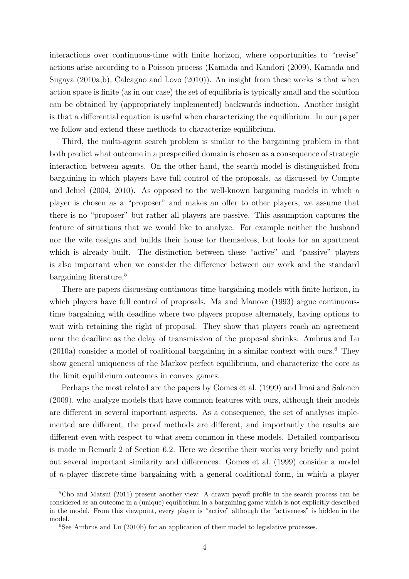interactions over continuous-time with finite horizon, where opportunities to "revise" actions arise according to a Poisson process (Kamada and Kandori (2009), Kamada and Sugaya (2010a,b), Calcagno and Lovo (2010)). An insight from these works is that when action space is finite (as in our case) the set of equilibria is typically small and the solution can be obtained by (appropriately implemented) backwards induction. Another insight is that a differential equation is useful when characterizing the equilibrium. In our paper we follow and extend these methods to characterize equilibrium.

Third, the multi-agent search problem is similar to the bargaining problem in that both predict what outcome in a prespecified domain is chosen as a consequence of strategic interaction between agents. On the other hand, the search model is distinguished from bargaining in which players have full control of the proposals, as discussed by Compte and Jehiel (2004, 2010). As opposed to the well-known bargaining models in which a player is chosen as a "proposer" and makes an offer to other players, we assume that there is no "proposer" but rather all players are passive. This assumption captures the feature of situations that we would like to analyze. For example neither the husband nor the wife designs and builds their house for themselves, but looks for an apartment which is already built. The distinction between these "active" and "passive" players is also important when we consider the difference between our work and the standard bargaining literature.<sup>5</sup>

There are papers discussing continuous-time bargaining models with finite horizon, in which players have full control of proposals. Ma and Manove (1993) argue continuoustime bargaining with deadline where two players propose alternately, having options to wait with retaining the right of proposal. They show that players reach an agreement near the deadline as the delay of transmission of the proposal shrinks. Ambrus and Lu  $(2010a)$  consider a model of coalitional bargaining in a similar context with ours.<sup>6</sup> They show general uniqueness of the Markov perfect equilibrium, and characterize the core as the limit equilibrium outcomes in convex games.

Perhaps the most related are the papers by Gomes et al. (1999) and Imai and Salonen (2009), who analyze models that have common features with ours, although their models are different in several important aspects. As a consequence, the set of analyses implemented are different, the proof methods are different, and importantly the results are different even with respect to what seem common in these models. Detailed comparison is made in Remark 2 of Section 6.2. Here we describe their works very briefly and point out several important similarity and differences. Gomes et al. (1999) consider a model of *n*-player discrete-time bargaining with a general coalitional form, in which a player

<sup>5</sup>Cho and Matsui (2011) present another view: A drawn payoff profile in the search process can be considered as an outcome in a (unique) equilibrium in a bargaining game which is not explicitly described in the model. From this viewpoint, every player is "active" although the "activeness" is hidden in the model.

 ${}^{6}$ See Ambrus and Lu (2010b) for an application of their model to legislative processes.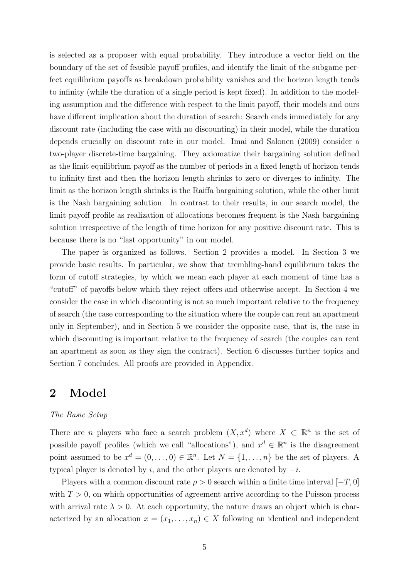is selected as a proposer with equal probability. They introduce a vector field on the boundary of the set of feasible payoff profiles, and identify the limit of the subgame perfect equilibrium payoffs as breakdown probability vanishes and the horizon length tends to infinity (while the duration of a single period is kept fixed). In addition to the modeling assumption and the difference with respect to the limit payoff, their models and ours have different implication about the duration of search: Search ends immediately for any discount rate (including the case with no discounting) in their model, while the duration depends crucially on discount rate in our model. Imai and Salonen (2009) consider a two-player discrete-time bargaining. They axiomatize their bargaining solution defined as the limit equilibrium payoff as the number of periods in a fixed length of horizon tends to infinity first and then the horizon length shrinks to zero or diverges to infinity. The limit as the horizon length shrinks is the Raiffa bargaining solution, while the other limit is the Nash bargaining solution. In contrast to their results, in our search model, the limit payoff profile as realization of allocations becomes frequent is the Nash bargaining solution irrespective of the length of time horizon for any positive discount rate. This is because there is no "last opportunity" in our model.

The paper is organized as follows. Section 2 provides a model. In Section 3 we provide basic results. In particular, we show that trembling-hand equilibrium takes the form of cutoff strategies, by which we mean each player at each moment of time has a "cutoff" of payoffs below which they reject offers and otherwise accept. In Section 4 we consider the case in which discounting is not so much important relative to the frequency of search (the case corresponding to the situation where the couple can rent an apartment only in September), and in Section 5 we consider the opposite case, that is, the case in which discounting is important relative to the frequency of search (the couples can rent an apartment as soon as they sign the contract). Section 6 discusses further topics and Section 7 concludes. All proofs are provided in Appendix.

## **2 Model**

#### *The Basic Setup*

There are *n* players who face a search problem  $(X, x^d)$  where  $X \subset \mathbb{R}^n$  is the set of possible payoff profiles (which we call "allocations"), and  $x^d \in \mathbb{R}^n$  is the disagreement point assumed to be  $x^d = (0, \ldots, 0) \in \mathbb{R}^n$ . Let  $N = \{1, \ldots, n\}$  be the set of players. A typical player is denoted by *i*, and the other players are denoted by *−i*.

Players with a common discount rate  $\rho > 0$  search within a finite time interval [ $-T$ , 0] with  $T > 0$ , on which opportunities of agreement arrive according to the Poisson process with arrival rate  $\lambda > 0$ . At each opportunity, the nature draws an object which is characterized by an allocation  $x = (x_1, \ldots, x_n) \in X$  following an identical and independent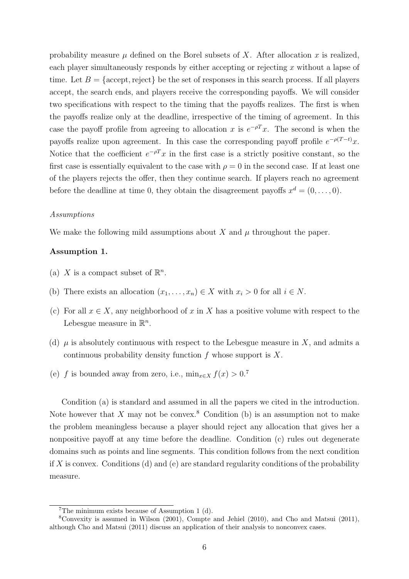probability measure  $\mu$  defined on the Borel subsets of X. After allocation x is realized, each player simultaneously responds by either accepting or rejecting *x* without a lapse of time. Let  $B = \{ \text{accept}, \text{reject} \}$  be the set of responses in this search process. If all players accept, the search ends, and players receive the corresponding payoffs. We will consider two specifications with respect to the timing that the payoffs realizes. The first is when the payoffs realize only at the deadline, irrespective of the timing of agreement. In this case the payoff profile from agreeing to allocation *x* is  $e^{-\rho T}x$ . The second is when the payoffs realize upon agreement. In this case the corresponding payoff profile  $e^{-\rho(T-t)}x$ . Notice that the coefficient  $e^{-\rho T}x$  in the first case is a strictly positive constant, so the first case is essentially equivalent to the case with  $\rho = 0$  in the second case. If at least one of the players rejects the offer, then they continue search. If players reach no agreement before the deadline at time 0, they obtain the disagreement payoffs  $x^d = (0, \ldots, 0)$ .

#### *Assumptions*

We make the following mild assumptions about  $X$  and  $\mu$  throughout the paper.

### **Assumption 1.**

- (a) *X* is a compact subset of  $\mathbb{R}^n$ .
- (b) There exists an allocation  $(x_1, \ldots, x_n) \in X$  with  $x_i > 0$  for all  $i \in N$ .
- (c) For all  $x \in X$ , any neighborhood of x in X has a positive volume with respect to the Lebesgue measure in  $\mathbb{R}^n$ .
- (d)  $\mu$  is absolutely continuous with respect to the Lebesgue measure in *X*, and admits a continuous probability density function *f* whose support is *X*.
- (e) *f* is bounded away from zero, i.e.,  $\min_{x \in X} f(x) > 0$ .<sup>7</sup>

Condition (a) is standard and assumed in all the papers we cited in the introduction. Note however that *X* may not be convex.<sup>8</sup> Condition (b) is an assumption not to make the problem meaningless because a player should reject any allocation that gives her a nonpositive payoff at any time before the deadline. Condition (c) rules out degenerate domains such as points and line segments. This condition follows from the next condition if *X* is convex. Conditions (d) and (e) are standard regularity conditions of the probability measure.

<sup>&</sup>lt;sup>7</sup>The minimum exists because of Assumption 1 (d).

<sup>8</sup>Convexity is assumed in Wilson (2001), Compte and Jehiel (2010), and Cho and Matsui (2011), although Cho and Matsui (2011) discuss an application of their analysis to nonconvex cases.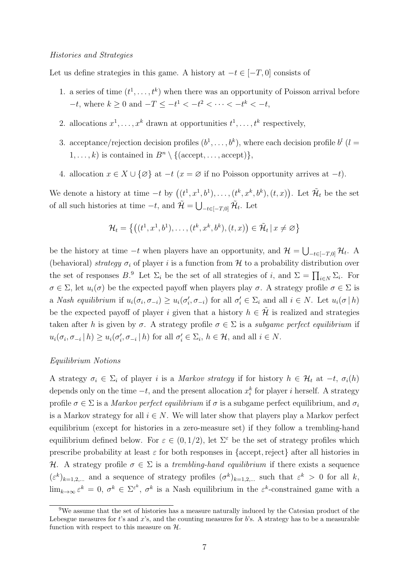Let us define strategies in this game. A history at  $-t \in [-T, 0]$  consists of

- 1. a series of time  $(t^1, \ldots, t^k)$  when there was an opportunity of Poisson arrival before *−t*, where  $k \geq 0$  and  $-T \leq -t^1 < -t^2 < \cdots < -t^k < -t$ ,
- 2. allocations  $x^1, \ldots, x^k$  drawn at opportunities  $t^1, \ldots, t^k$  respectively,
- 3. acceptance/rejection decision profiles  $(b^1, \ldots, b^k)$ , where each decision profile  $b^l$  (*l* = 1, ..., k) is contained in  $B<sup>n</sup> \setminus \{(\text{accept}, \ldots, \text{accept})\},\$
- 4. allocation  $x \in X \cup \{\emptyset\}$  at  $-t$  ( $x = \emptyset$  if no Poisson opportunity arrives at  $-t$ ).

We denote a history at time  $-t$  by  $((t^1, x^1, b^1), \ldots, (t^k, x^k, b^k), (t, x))$ . Let  $\mathcal{H}_t$  be the set of all such histories at time  $-t$ , and  $\mathcal{H} = \bigcup_{-t \in [-T,0]} \mathcal{H}_t$ . Let

$$
\mathcal{H}_t = \left\{ \left( (t^1, x^1, b^1), \dots, (t^k, x^k, b^k), (t, x) \right) \in \tilde{\mathcal{H}}_t \, | \, x \neq \varnothing \right\}
$$

be the history at time  $-t$  when players have an opportunity, and  $\mathcal{H} = \bigcup_{-t \in [-T,0]} \mathcal{H}_t$ . A (behavioral) *strategy*  $\sigma_i$  of player *i* is a function from  $H$  to a probability distribution over the set of responses  $B$ <sup>9</sup>. Let  $\Sigma_i$  be the set of all strategies of *i*, and  $\Sigma = \prod_{i \in N} \Sigma_i$ . For  $\sigma \in \Sigma$ , let  $u_i(\sigma)$  be the expected payoff when players play  $\sigma$ . A strategy profile  $\sigma \in \Sigma$  is a Nash equilibrium if  $u_i(\sigma_i, \sigma_{-i}) \geq u_i(\sigma'_i, \sigma_{-i})$  for all  $\sigma'_i \in \Sigma_i$  and all  $i \in N$ . Let  $u_i(\sigma | h)$ be the expected payoff of player *i* given that a history  $h \in \mathcal{H}$  is realized and strategies taken after *h* is given by  $\sigma$ . A strategy profile  $\sigma \in \Sigma$  is a *subgame perfect equilibrium* if  $u_i(\sigma_i, \sigma_{-i} | h) \ge u_i(\sigma'_i, \sigma_{-i} | h)$  for all  $\sigma'_i \in \Sigma_i$ ,  $h \in \mathcal{H}$ , and all  $i \in N$ .

### *Equilibrium Notions*

A strategy  $\sigma_i \in \Sigma_i$  of player *i* is a *Markov strategy* if for history  $h \in \mathcal{H}_t$  at  $-t$ ,  $\sigma_i(h)$ depends only on the time *−t*, and the present allocation *x k i* for player *i* herself. A strategy profile  $\sigma \in \Sigma$  is a *Markov perfect equilibrium* if  $\sigma$  is a subgame perfect equilibrium, and  $\sigma_i$ is a Markov strategy for all  $i \in N$ . We will later show that players play a Markov perfect equilibrium (except for histories in a zero-measure set) if they follow a trembling-hand equilibrium defined below. For  $\varepsilon \in (0,1/2)$ , let  $\Sigma^{\varepsilon}$  be the set of strategy profiles which prescribe probability at least *ε* for both responses in *{*accept*,*reject*}* after all histories in *H*. A strategy profile  $\sigma \in \Sigma$  is a *trembling-hand equilibrium* if there exists a sequence  $(\varepsilon^k)_{k=1,2,...}$  and a sequence of strategy profiles  $({\sigma}^k)_{k=1,2,...}$  such that  $\varepsilon^k > 0$  for all *k*,  $\lim_{k\to\infty} \varepsilon^k = 0$ ,  $\sigma^k \in \Sigma^{\varepsilon^k}$ ,  $\sigma^k$  is a Nash equilibrium in the  $\varepsilon^k$ -constrained game with a

<sup>&</sup>lt;sup>9</sup>We assume that the set of histories has a measure naturally induced by the Catesian product of the Lebesgue measures for *t*'s and *x*'s, and the counting measures for *b*'s. A strategy has to be a measurable function with respect to this measure on *H*.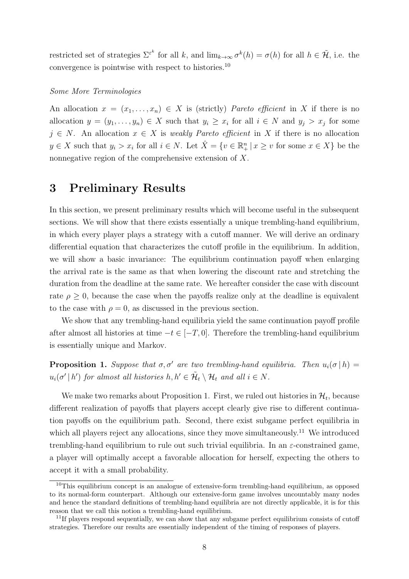restricted set of strategies  $\Sigma^{\varepsilon^k}$  for all *k*, and  $\lim_{k\to\infty} \sigma^k(h) = \sigma(h)$  for all  $h \in \tilde{\mathcal{H}}$ , i.e. the convergence is pointwise with respect to histories.<sup>10</sup>

#### *Some More Terminologies*

An allocation  $x = (x_1, \ldots, x_n) \in X$  is (strictly) *Pareto efficient* in X if there is no allocation  $y = (y_1, \ldots, y_n) \in X$  such that  $y_i \geq x_i$  for all  $i \in N$  and  $y_j > x_j$  for some  $j \in N$ . An allocation  $x \in X$  is *weakly Pareto efficient* in X if there is no allocation  $y \in X$  such that  $y_i > x_i$  for all  $i \in N$ . Let  $\hat{X} = \{v \in \mathbb{R}^n_+ | x \ge v$  for some  $x \in X\}$  be the nonnegative region of the comprehensive extension of *X*.

## **3 Preliminary Results**

In this section, we present preliminary results which will become useful in the subsequent sections. We will show that there exists essentially a unique trembling-hand equilibrium, in which every player plays a strategy with a cutoff manner. We will derive an ordinary differential equation that characterizes the cutoff profile in the equilibrium. In addition, we will show a basic invariance: The equilibrium continuation payoff when enlarging the arrival rate is the same as that when lowering the discount rate and stretching the duration from the deadline at the same rate. We hereafter consider the case with discount rate  $\rho \geq 0$ , because the case when the payoffs realize only at the deadline is equivalent to the case with  $\rho = 0$ , as discussed in the previous section.

We show that any trembling-hand equilibria yield the same continuation payoff profile after almost all histories at time *−t ∈* [*−T,* 0]. Therefore the trembling-hand equilibrium is essentially unique and Markov.

**Proposition 1.** *Suppose that*  $\sigma$ ,  $\sigma'$  *are two trembling-hand equilibria. Then*  $u_i(\sigma | h)$  =  $u_i(\sigma' | h')$  *for almost all histories*  $h, h' \in \mathcal{H}_t \setminus \mathcal{H}_t$  *and all*  $i \in N$ *.* 

We make two remarks about Proposition 1. First, we ruled out histories in  $\mathcal{H}_t$ , because different realization of payoffs that players accept clearly give rise to different continuation payoffs on the equilibrium path. Second, there exist subgame perfect equilibria in which all players reject any allocations, since they move simultaneously.<sup>11</sup> We introduced trembling-hand equilibrium to rule out such trivial equilibria. In an *ε*-constrained game, a player will optimally accept a favorable allocation for herself, expecting the others to accept it with a small probability.

 $10$ This equilibrium concept is an analogue of extensive-form trembling-hand equilibrium, as opposed to its normal-form counterpart. Although our extensive-form game involves uncountably many nodes and hence the standard definitions of trembling-hand equilibria are not directly applicable, it is for this reason that we call this notion a trembling-hand equilibrium.

<sup>&</sup>lt;sup>11</sup>If players respond sequentially, we can show that any subgame perfect equilibrium consists of cutoff strategies. Therefore our results are essentially independent of the timing of responses of players.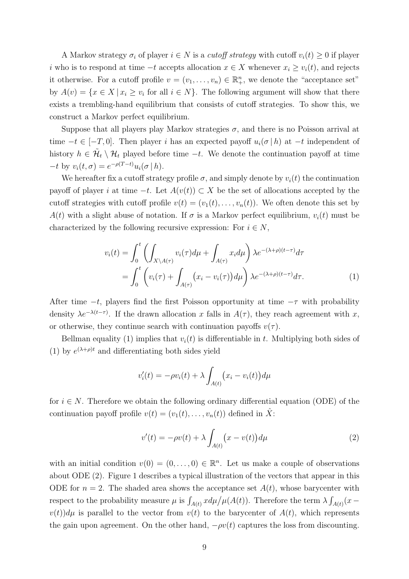A Markov strategy  $\sigma_i$  of player  $i \in N$  is a *cutoff strategy* with cutoff  $v_i(t) \geq 0$  if player *i* who is to respond at time  $-t$  accepts allocation  $x \in X$  whenever  $x_i \geq v_i(t)$ , and rejects it otherwise. For a cutoff profile  $v = (v_1, \ldots, v_n) \in \mathbb{R}^n_+$ , we denote the "acceptance set" by  $A(v) = \{x \in X \mid x_i \ge v_i \text{ for all } i \in N\}$ . The following argument will show that there exists a trembling-hand equilibrium that consists of cutoff strategies. To show this, we construct a Markov perfect equilibrium.

Suppose that all players play Markov strategies  $\sigma$ , and there is no Poisson arrival at time  $-t \in [-T, 0]$ . Then player *i* has an expected payoff  $u_i(\sigma | h)$  at  $-t$  independent of history  $h \in \tilde{\mathcal{H}}_t \setminus \mathcal{H}_t$  played before time  $-t$ . We denote the continuation payoff at time  $-t$  by  $v_i(t, \sigma) = e^{-\rho(T-t)}u_i(\sigma | h).$ 

We hereafter fix a cutoff strategy profile  $\sigma$ , and simply denote by  $v_i(t)$  the continuation payoff of player *i* at time *−t*. Let *A*(*v*(*t*)) *⊂ X* be the set of allocations accepted by the cutoff strategies with cutoff profile  $v(t) = (v_1(t), \ldots, v_n(t))$ . We often denote this set by *A*(*t*) with a slight abuse of notation. If  $\sigma$  is a Markov perfect equilibrium,  $v_i(t)$  must be characterized by the following recursive expression: For  $i \in N$ ,

$$
v_i(t) = \int_0^t \left( \int_{X \setminus A(\tau)} v_i(\tau) d\mu + \int_{A(\tau)} x_i d\mu \right) \lambda e^{-(\lambda + \rho)(t - \tau)} d\tau
$$
  
= 
$$
\int_0^t \left( v_i(\tau) + \int_{A(\tau)} (x_i - v_i(\tau)) d\mu \right) \lambda e^{-(\lambda + \rho)(t - \tau)} d\tau.
$$
 (1)

After time *−t*, players find the first Poisson opportunity at time *−τ* with probability density  $\lambda e^{-\lambda(t-\tau)}$ . If the drawn allocation *x* falls in  $A(\tau)$ , they reach agreement with *x*, or otherwise, they continue search with continuation payoffs  $v(\tau)$ .

Bellman equality (1) implies that  $v_i(t)$  is differentiable in *t*. Multiplying both sides of (1) by  $e^{(\lambda+\rho)t}$  and differentiating both sides yield

$$
v_i'(t) = -\rho v_i(t) + \lambda \int_{A(t)} (x_i - v_i(t)) d\mu
$$

for  $i \in N$ . Therefore we obtain the following ordinary differential equation (ODE) of the continuation payoff profile  $v(t) = (v_1(t), \ldots, v_n(t))$  defined in  $\hat{X}$ :

$$
v'(t) = -\rho v(t) + \lambda \int_{A(t)} (x - v(t)) d\mu \tag{2}
$$

with an initial condition  $v(0) = (0, \ldots, 0) \in \mathbb{R}^n$ . Let us make a couple of observations about ODE (2). Figure 1 describes a typical illustration of the vectors that appear in this ODE for  $n = 2$ . The shaded area shows the acceptance set  $A(t)$ , whose barycenter with respect to the probability measure  $\mu$  is  $\int_{A(t)} x d\mu / \mu(A(t))$ . Therefore the term  $\lambda \int_{A(t)} (x$  $v(t)$ ) $d\mu$  is parallel to the vector from  $v(t)$  to the barycenter of  $A(t)$ , which represents the gain upon agreement. On the other hand,  $-\rho v(t)$  captures the loss from discounting.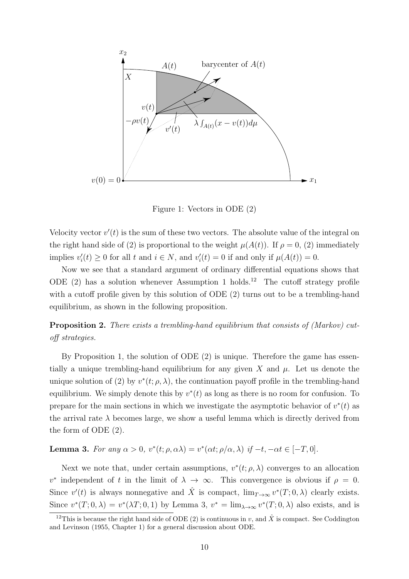

Figure 1: Vectors in ODE (2)

Velocity vector  $v'(t)$  is the sum of these two vectors. The absolute value of the integral on the right hand side of (2) is proportional to the weight  $\mu(A(t))$ . If  $\rho = 0$ , (2) immediately implies  $v'_{i}(t) \geq 0$  for all *t* and  $i \in N$ , and  $v'_{i}(t) = 0$  if and only if  $\mu(A(t)) = 0$ .

Now we see that a standard argument of ordinary differential equations shows that ODE  $(2)$  has a solution whenever Assumption 1 holds.<sup>12</sup> The cutoff strategy profile with a cutoff profile given by this solution of ODE (2) turns out to be a trembling-hand equilibrium, as shown in the following proposition.

**Proposition 2.** *There exists a trembling-hand equilibrium that consists of (Markov) cutoff strategies.*

By Proposition 1, the solution of ODE (2) is unique. Therefore the game has essentially a unique trembling-hand equilibrium for any given  $X$  and  $\mu$ . Let us denote the unique solution of (2) by  $v^*(t; \rho, \lambda)$ , the continuation payoff profile in the trembling-hand equilibrium. We simply denote this by  $v^*(t)$  as long as there is no room for confusion. To prepare for the main sections in which we investigate the asymptotic behavior of  $v^*(t)$  as the arrival rate  $\lambda$  becomes large, we show a useful lemma which is directly derived from the form of ODE (2).

**Lemma 3.** For any  $\alpha > 0$ ,  $v^*(t; \rho, \alpha \lambda) = v^*(\alpha t; \rho/\alpha, \lambda)$  if  $-t, -\alpha t \in [-T, 0]$ .

Next we note that, under certain assumptions,  $v^*(t; \rho, \lambda)$  converges to an allocation  $v^*$  independent of *t* in the limit of  $\lambda \to \infty$ . This convergence is obvious if  $\rho = 0$ . Since  $v'(t)$  is always nonnegative and  $\hat{X}$  is compact,  $\lim_{T\to\infty} v^*(T;0,\lambda)$  clearly exists. Since  $v^*(T; 0, \lambda) = v^*(\lambda T; 0, 1)$  by Lemma 3,  $v^* = \lim_{\lambda \to \infty} v^*(T; 0, \lambda)$  also exists, and is

<sup>&</sup>lt;sup>12</sup>This is because the right hand side of ODE (2) is continuous in *v*, and  $\hat{X}$  is compact. See Coddington and Levinson (1955, Chapter 1) for a general discussion about ODE.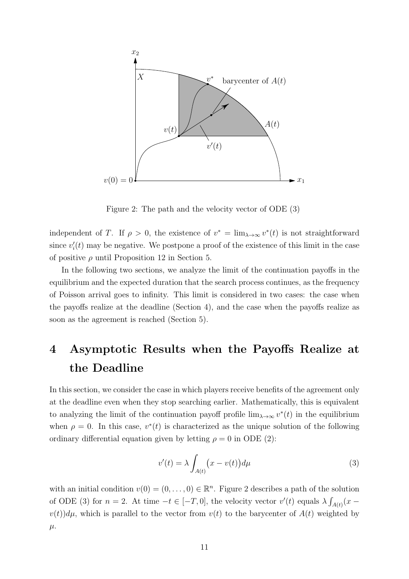

Figure 2: The path and the velocity vector of ODE (3)

independent of *T*. If  $\rho > 0$ , the existence of  $v^* = \lim_{\lambda \to \infty} v^*(t)$  is not straightforward since  $v'_{i}(t)$  may be negative. We postpone a proof of the existence of this limit in the case of positive *ρ* until Proposition 12 in Section 5.

In the following two sections, we analyze the limit of the continuation payoffs in the equilibrium and the expected duration that the search process continues, as the frequency of Poisson arrival goes to infinity. This limit is considered in two cases: the case when the payoffs realize at the deadline (Section 4), and the case when the payoffs realize as soon as the agreement is reached (Section 5).

# **4 Asymptotic Results when the Payoffs Realize at the Deadline**

In this section, we consider the case in which players receive benefits of the agreement only at the deadline even when they stop searching earlier. Mathematically, this is equivalent to analyzing the limit of the continuation payoff profile  $\lim_{\lambda \to \infty} v^*(t)$  in the equilibrium when  $\rho = 0$ . In this case,  $v^*(t)$  is characterized as the unique solution of the following ordinary differential equation given by letting  $\rho = 0$  in ODE (2):

$$
v'(t) = \lambda \int_{A(t)} (x - v(t)) d\mu \tag{3}
$$

with an initial condition  $v(0) = (0, \ldots, 0) \in \mathbb{R}^n$ . Figure 2 describes a path of the solution of ODE (3) for  $n = 2$ . At time  $-t \in [-T, 0]$ , the velocity vector  $v'(t)$  equals  $\lambda \int_{A(t)} (x$  $v(t)$ ) $d\mu$ , which is parallel to the vector from  $v(t)$  to the barycenter of  $A(t)$  weighted by *µ*.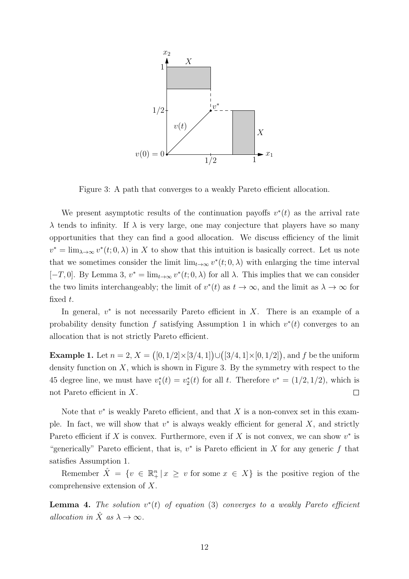

Figure 3: A path that converges to a weakly Pareto efficient allocation.

We present asymptotic results of the continuation payoffs  $v^*(t)$  as the arrival rate *λ* tends to infinity. If *λ* is very large, one may conjecture that players have so many opportunities that they can find a good allocation. We discuss efficiency of the limit  $v^* = \lim_{\lambda \to \infty} v^*(t; 0, \lambda)$  in *X* to show that this intuition is basically correct. Let us note that we sometimes consider the limit  $\lim_{t\to\infty} v^*(t;0,\lambda)$  with enlarging the time interval [*−T,* 0]. By Lemma 3,  $v^* = \lim_{t \to \infty} v^*(t; 0, \lambda)$  for all  $\lambda$ . This implies that we can consider the two limits interchangeably; the limit of  $v^*(t)$  as  $t \to \infty$ , and the limit as  $\lambda \to \infty$  for fixed *t*.

In general,  $v^*$  is not necessarily Pareto efficient in  $X$ . There is an example of a probability density function  $f$  satisfying Assumption 1 in which  $v^*(t)$  converges to an allocation that is not strictly Pareto efficient.

**Example 1.** Let  $n = 2$ ,  $X = ([0, 1/2] \times [3/4, 1]) \cup ([3/4, 1] \times [0, 1/2])$ , and  $f$  be the uniform density function on  $X$ , which is shown in Figure 3. By the symmetry with respect to the 45 degree line, we must have  $v_1^*(t) = v_2^*(t)$  for all t. Therefore  $v^* = (1/2, 1/2)$ , which is not Pareto efficient in *X*.  $\Box$ 

Note that  $v^*$  is weakly Pareto efficient, and that X is a non-convex set in this example. In fact, we will show that  $v^*$  is always weakly efficient for general  $X$ , and strictly Pareto efficient if *X* is convex. Furthermore, even if *X* is not convex, we can show  $v^*$  is "generically" Pareto efficient, that is,  $v^*$  is Pareto efficient in *X* for any generic *f* that satisfies Assumption 1.

Remember  $\hat{X} = \{v \in \mathbb{R}^n_+ | x \geq v \text{ for some } x \in X\}$  is the positive region of the comprehensive extension of *X*.

**Lemma 4.** *The solution v ∗* (*t*) *of equation* (3) *converges to a weakly Pareto efficient allocation in*  $\hat{X}$  *as*  $\lambda \to \infty$ *.*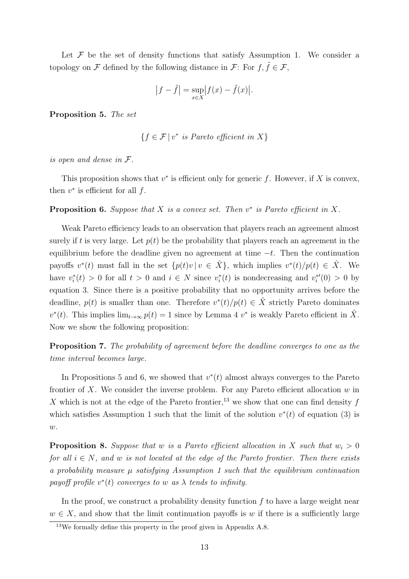Let  $F$  be the set of density functions that satisfy Assumption 1. We consider a topology on *F* defined by the following distance in *F*: For  $f, \tilde{f} \in \mathcal{F}$ ,

$$
|f - \tilde{f}| = \sup_{x \in X} |f(x) - \tilde{f}(x)|.
$$

**Proposition 5.** *The set*

$$
\{f \in \mathcal{F} \mid v^* \text{ is Pareto efficient in } X\}
$$

*is open and dense in F.*

This proposition shows that  $v^*$  is efficient only for generic  $f$ . However, if  $X$  is convex, then  $v^*$  is efficient for all  $f$ .

**Proposition 6.** Suppose that  $X$  is a convex set. Then  $v^*$  is Pareto efficient in  $X$ .

Weak Pareto efficiency leads to an observation that players reach an agreement almost surely if *t* is very large. Let  $p(t)$  be the probability that players reach an agreement in the equilibrium before the deadline given no agreement at time *−t*. Then the continuation payoffs  $v^*(t)$  must fall in the set  $\{p(t)v \mid v \in \hat{X}\}$ , which implies  $v^*(t)/p(t) \in \hat{X}$ . We have  $v_i^*(t) > 0$  for all  $t > 0$  and  $i \in N$  since  $v_i^*(t)$  is nondecreasing and  $v_i^{*'}(0) > 0$  by equation 3. Since there is a positive probability that no opportunity arrives before the deadline,  $p(t)$  is smaller than one. Therefore  $v^*(t)/p(t) \in \hat{X}$  strictly Pareto dominates  $v^*(t)$ . This implies  $\lim_{t\to\infty} p(t) = 1$  since by Lemma 4  $v^*$  is weakly Pareto efficient in  $\hat{X}$ . Now we show the following proposition:

**Proposition 7.** *The probability of agreement before the deadline converges to one as the time interval becomes large.*

In Propositions 5 and 6, we showed that  $v^*(t)$  almost always converges to the Pareto frontier of *X*. We consider the inverse problem. For any Pareto efficient allocation *w* in *X* which is not at the edge of the Pareto frontier,<sup>13</sup> we show that one can find density  $f$ which satisfies Assumption 1 such that the limit of the solution  $v^*(t)$  of equation (3) is *w*.

**Proposition 8.** Suppose that *w* is a Pareto efficient allocation in X such that  $w_i > 0$ *for all*  $i \in N$ , and  $w$  *is not located at the edge of the Pareto frontier. Then there exists a probability measure µ satisfying Assumption 1 such that the equilibrium continuation* payoff profile  $v^*(t)$  converges to *w* as  $\lambda$  tends to infinity.

In the proof, we construct a probability density function *f* to have a large weight near  $w \in X$ , and show that the limit continuation payoffs is *w* if there is a sufficiently large

 $13$ We formally define this property in the proof given in Appendix A.8.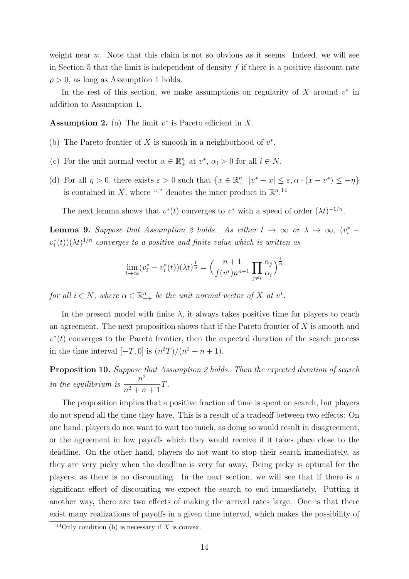weight near *w*. Note that this claim is not so obvious as it seems. Indeed, we will see in Section 5 that the limit is independent of density *f* if there is a positive discount rate  $\rho > 0$ , as long as Assumption 1 holds.

In the rest of this section, we make assumptions on regularity of  $X$  around  $v^*$  in addition to Assumption 1.

**Assumption 2.** (a) The limit  $v^*$  is Pareto efficient in  $X$ .

- (b) The Pareto frontier of  $X$  is smooth in a neighborhood of  $v^*$ .
- (c) For the unit normal vector  $\alpha \in \mathbb{R}^n_+$  at  $v^*, \alpha_i > 0$  for all  $i \in N$ .
- (d) For all  $\eta > 0$ , there exists  $\varepsilon > 0$  such that  $\{x \in \mathbb{R}^n_+ | |v^* x| \le \varepsilon, \alpha \cdot (x v^*) \le -\eta\}$ is contained in X, where "<sup>\*</sup>." denotes the inner product in  $\mathbb{R}^{n}$ .<sup>14</sup>

The next lemma shows that  $v^*(t)$  converges to  $v^*$  with a speed of order  $(\lambda t)^{-1/n}$ .

**Lemma 9.** Suppose that Assumption 2 holds. As either  $t \to \infty$  or  $\lambda \to \infty$ ,  $(v_i^*$  $v_i^*(t)$ )( $\lambda t$ )<sup> $1/n$ </sup> *converges to a positive and finite value which is written as* 

$$
\lim_{t \to \infty} (v_i^* - v_i^*(t)) (\lambda t)^{\frac{1}{n}} = \left(\frac{n+1}{f(v^*)n^{n+1}} \prod_{j \neq i} \frac{\alpha_j}{\alpha_i}\right)^{\frac{1}{n}}
$$

*for all*  $i \in N$ *, where*  $\alpha \in \mathbb{R}_{++}^n$  *be the unit normal vector of*  $X$  *at*  $v^*$ *.* 

In the present model with finite  $\lambda$ , it always takes positive time for players to reach an agreement. The next proposition shows that if the Pareto frontier of *X* is smooth and  $v^*(t)$  converges to the Pareto frontier, then the expected duration of the search process in the time interval  $[-T, 0]$  is  $(n^2T)/(n^2 + n + 1)$ .

**Proposition 10.** *Suppose that Assumption 2 holds. Then the expected duration of search in the equilibrium is*  $\frac{n^2}{2}$  $\frac{n}{n^2 + n + 1}$ *T*.

The proposition implies that a positive fraction of time is spent on search, but players do not spend all the time they have. This is a result of a tradeoff between two effects: On one hand, players do not want to wait too much, as doing so would result in disagreement, or the agreement in low payoffs which they would receive if it takes place close to the deadline. On the other hand, players do not want to stop their search immediately, as they are very picky when the deadline is very far away. Being picky is optimal for the players, as there is no discounting. In the next section, we will see that if there is a significant effect of discounting we expect the search to end immediately. Putting it another way, there are two effects of making the arrival rates large. One is that there exist many realizations of payoffs in a given time interval, which makes the possibility of

 $\frac{14\text{Only condition (b) is necessary if }X\text{ is convex.}}{14\text{Only condition (b) is necessary if }X\text{ is convex.}}$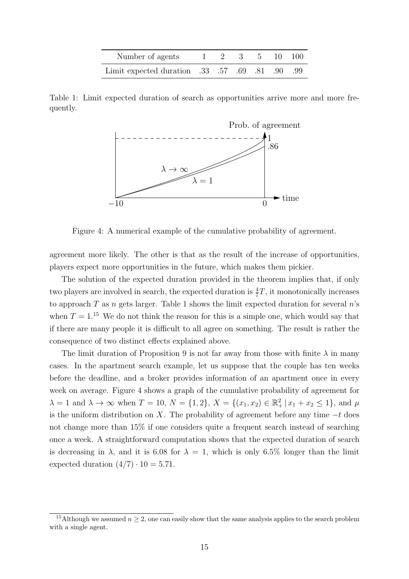| Number of agents                              |  |  | $1 \quad 2 \quad 3 \quad 5 \quad 10 \quad 100$ |  |
|-----------------------------------------------|--|--|------------------------------------------------|--|
| Emit expected duration 33 .57 .69 .81 .90 .99 |  |  |                                                |  |

Table 1: Limit expected duration of search as opportunities arrive more and more frequently.



Figure 4: A numerical example of the cumulative probability of agreement.

agreement more likely. The other is that as the result of the increase of opportunities, players expect more opportunities in the future, which makes them pickier.

The solution of the expected duration provided in the theorem implies that, if only two players are involved in search, the expected duration is  $\frac{4}{7}T$ , it monotonically increases to approach *T* as *n* gets larger. Table 1 shows the limit expected duration for several *n*'s when  $T = 1^{15}$  We do not think the reason for this is a simple one, which would say that if there are many people it is difficult to all agree on something. The result is rather the consequence of two distinct effects explained above.

The limit duration of Proposition 9 is not far away from those with finite  $\lambda$  in many cases. In the apartment search example, let us suppose that the couple has ten weeks before the deadline, and a broker provides information of an apartment once in every week on average. Figure 4 shows a graph of the cumulative probability of agreement for  $\lambda = 1$  and  $\lambda \to \infty$  when  $T = 10$ ,  $N = \{1, 2\}$ ,  $X = \{(x_1, x_2) \in \mathbb{R}^2_+ | x_1 + x_2 \le 1\}$ , and  $\mu$ is the uniform distribution on *X*. The probability of agreement before any time *−t* does not change more than 15% if one considers quite a frequent search instead of searching once a week. A straightforward computation shows that the expected duration of search is decreasing in  $\lambda$ , and it is 6.08 for  $\lambda = 1$ , which is only 6.5% longer than the limit expected duration  $(4/7) \cdot 10 = 5.71$ .

<sup>&</sup>lt;sup>15</sup>Although we assumed  $n \geq 2$ , one can easily show that the same analysis applies to the search problem with a single agent.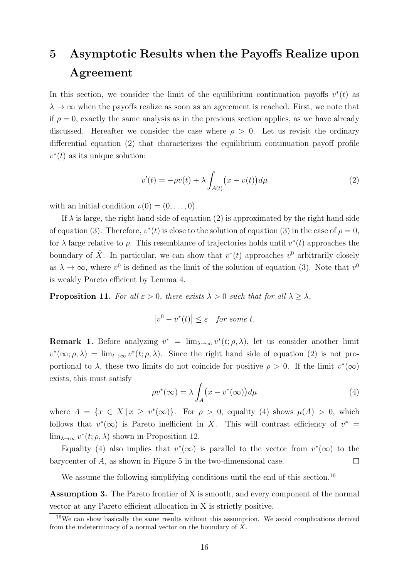# **5 Asymptotic Results when the Payoffs Realize upon Agreement**

In this section, we consider the limit of the equilibrium continuation payoffs  $v^*(t)$  as  $\lambda \to \infty$  when the payoffs realize as soon as an agreement is reached. First, we note that if  $\rho = 0$ , exactly the same analysis as in the previous section applies, as we have already discussed. Hereafter we consider the case where  $\rho > 0$ . Let us revisit the ordinary differential equation (2) that characterizes the equilibrium continuation payoff profile  $v^*(t)$  as its unique solution:

$$
v'(t) = -\rho v(t) + \lambda \int_{A(t)} (x - v(t)) d\mu \tag{2}
$$

with an initial condition  $v(0) = (0, \ldots, 0)$ .

If  $\lambda$  is large, the right hand side of equation (2) is approximated by the right hand side of equation (3). Therefore,  $v^*(t)$  is close to the solution of equation (3) in the case of  $\rho = 0$ , for  $\lambda$  large relative to  $\rho$ . This resemblance of trajectories holds until  $v^*(t)$  approaches the boundary of  $\hat{X}$ . In particular, we can show that  $v^*(t)$  approaches  $v^0$  arbitrarily closely as  $\lambda \to \infty$ , where  $v^0$  is defined as the limit of the solution of equation (3). Note that  $v^0$ is weakly Pareto efficient by Lemma 4.

**Proposition 11.** For all  $\varepsilon > 0$ , there exists  $\overline{\lambda} > 0$  such that for all  $\lambda \geq \overline{\lambda}$ ,

$$
\left|v^0 - v^*(t)\right| \le \varepsilon \quad \textit{for some } t.
$$

**Remark 1.** Before analyzing  $v^* = \lim_{\lambda \to \infty} v^*(t; \rho, \lambda)$ , let us consider another limit  $v^*(\infty;\rho,\lambda) = \lim_{t\to\infty} v^*(t;\rho,\lambda)$ . Since the right hand side of equation (2) is not proportional to  $\lambda$ , these two limits do not coincide for positive  $\rho > 0$ . If the limit  $v^*(\infty)$ exists, this must satisfy

$$
\rho v^*(\infty) = \lambda \int_A (x - v^*(\infty)) d\mu \tag{4}
$$

where  $A = \{x \in X \mid x \geq v^*(\infty)\}.$  For  $\rho > 0$ , equality (4) shows  $\mu(A) > 0$ , which follows that  $v^*(\infty)$  is Pareto inefficient in *X*. This will contrast efficiency of  $v^* =$  $\lim_{\lambda \to \infty} v^*(t; \rho, \lambda)$  shown in Proposition 12.

Equality (4) also implies that  $v^*(\infty)$  is parallel to the vector from  $v^*(\infty)$  to the barycenter of *A*, as shown in Figure 5 in the two-dimensional case.  $\Box$ 

We assume the following simplifying conditions until the end of this section.<sup>16</sup>

**Assumption 3.** The Pareto frontier of X is smooth, and every component of the normal vector at any Pareto efficient allocation in X is strictly positive.

<sup>&</sup>lt;sup>16</sup>We can show basically the same results without this assumption. We avoid complications derived from the indeterminacy of a normal vector on the boundary of *X*.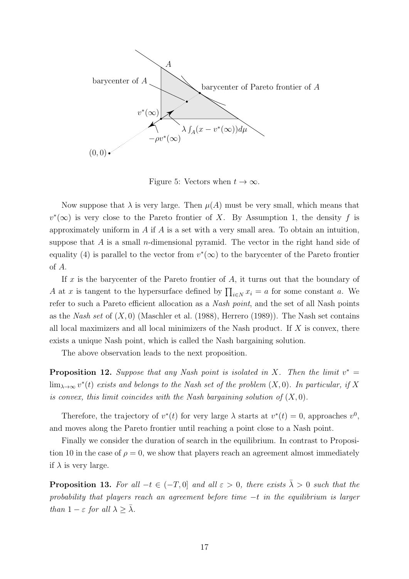

Figure 5: Vectors when  $t \to \infty$ .

Now suppose that  $\lambda$  is very large. Then  $\mu(A)$  must be very small, which means that  $v^*(\infty)$  is very close to the Pareto frontier of *X*. By Assumption 1, the density *f* is approximately uniform in *A* if *A* is a set with a very small area. To obtain an intuition, suppose that *A* is a small *n*-dimensional pyramid. The vector in the right hand side of equality (4) is parallel to the vector from  $v^*(\infty)$  to the barycenter of the Pareto frontier of *A*.

If *x* is the barycenter of the Pareto frontier of *A*, it turns out that the boundary of *A* at *x* is tangent to the hypersurface defined by  $\prod_{i \in N} x_i = a$  for some constant *a*. We refer to such a Pareto efficient allocation as a *Nash point*, and the set of all Nash points as the *Nash set* of (*X,* 0) (Maschler et al. (1988), Herrero (1989)). The Nash set contains all local maximizers and all local minimizers of the Nash product. If *X* is convex, there exists a unique Nash point, which is called the Nash bargaining solution.

The above observation leads to the next proposition.

**Proposition 12.** Suppose that any Nash point is isolated in X. Then the limit  $v^* =$  $\lim_{\lambda \to \infty} v^*(t)$  *exists and belongs to the Nash set of the problem*  $(X, 0)$ *. In particular, if*  $X$ *is convex, this limit coincides with the Nash bargaining solution of*  $(X, 0)$ *.* 

Therefore, the trajectory of  $v^*(t)$  for very large  $\lambda$  starts at  $v^*(t) = 0$ , approaches  $v^0$ , and moves along the Pareto frontier until reaching a point close to a Nash point.

Finally we consider the duration of search in the equilibrium. In contrast to Proposition 10 in the case of  $\rho = 0$ , we show that players reach an agreement almost immediately if  $\lambda$  is very large.

**Proposition 13.** For all  $-t \in (-T, 0]$  and all  $\varepsilon > 0$ , there exists  $\overline{\lambda} > 0$  such that the *probability that players reach an agreement before time −t in the equilibrium is larger than*  $1 - \varepsilon$  *for all*  $\lambda \geq \overline{\lambda}$ *.*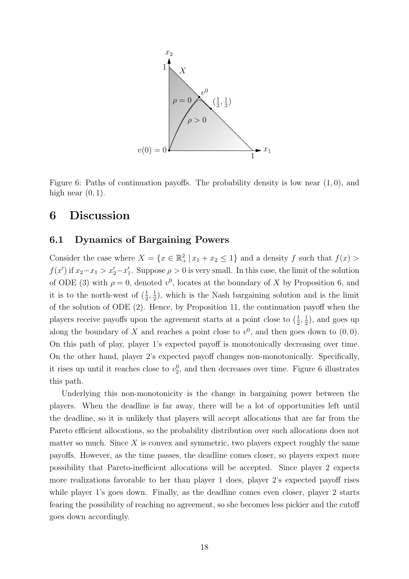

Figure 6: Paths of continuation payoffs. The probability density is low near (1*,* 0), and high near (0*,* 1).

# **6 Discussion**

### **6.1 Dynamics of Bargaining Powers**

Consider the case where  $X = \{x \in \mathbb{R}^2_+ | x_1 + x_2 \leq 1\}$  and a density  $f$  such that  $f(x)$  $f(x')$  if  $x_2-x_1 > x'_2-x'_1$ . Suppose  $\rho > 0$  is very small. In this case, the limit of the solution of ODE (3) with  $\rho = 0$ , denoted  $v^0$ , locates at the boundary of *X* by Proposition 6, and it is to the north-west of  $(\frac{1}{2}, \frac{1}{2})$  $(\frac{1}{2})$ , which is the Nash bargaining solution and is the limit of the solution of ODE (2). Hence, by Proposition 11, the continuation payoff when the players receive payoffs upon the agreement starts at a point close to  $(\frac{1}{2}, \frac{1}{2})$  $(\frac{1}{2})$ , and goes up along the boundary of X and reaches a point close to  $v^0$ , and then goes down to  $(0,0)$ . On this path of play, player 1's expected payoff is monotonically decreasing over time. On the other hand, player 2's expected payoff changes non-monotonically. Specifically, it rises up until it reaches close to  $v_2^0$ , and then decreases over time. Figure 6 illustrates this path.

Underlying this non-monotonicity is the change in bargaining power between the players. When the deadline is far away, there will be a lot of opportunities left until the deadline, so it is unlikely that players will accept allocations that are far from the Pareto efficient allocations, so the probability distribution over such allocations does not matter so much. Since *X* is convex and symmetric, two players expect roughly the same payoffs. However, as the time passes, the deadline comes closer, so players expect more possibility that Pareto-inefficient allocations will be accepted. Since player 2 expects more realizations favorable to her than player 1 does, player 2's expected payoff rises while player 1's goes down. Finally, as the deadline comes even closer, player 2 starts fearing the possibility of reaching no agreement, so she becomes less pickier and the cutoff goes down accordingly.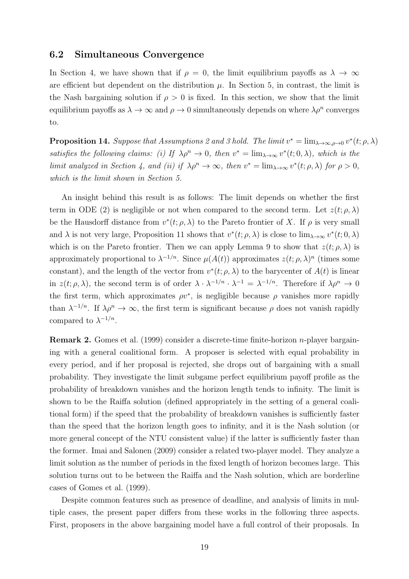### **6.2 Simultaneous Convergence**

In Section 4, we have shown that if  $\rho = 0$ , the limit equilibrium payoffs as  $\lambda \to \infty$ are efficient but dependent on the distribution  $\mu$ . In Section 5, in contrast, the limit is the Nash bargaining solution if  $\rho > 0$  is fixed. In this section, we show that the limit equilibrium payoffs as  $\lambda \to \infty$  and  $\rho \to 0$  simultaneously depends on where  $\lambda \rho^n$  converges to.

**Proposition 14.** Suppose that Assumptions 2 and 3 hold. The limit  $v^* = \lim_{\lambda \to \infty, \rho \to 0} v^*(t; \rho, \lambda)$ *satisfies the following claims: (i) If*  $\lambda \rho^n \to 0$ *, then*  $v^* = \lim_{\lambda \to \infty} v^*(t; 0, \lambda)$ *, which is the limit analyzed in Section 4, and (ii) if*  $\lambda \rho^n \to \infty$ *, then*  $v^* = \lim_{\lambda \to \infty} v^*(t; \rho, \lambda)$  for  $\rho > 0$ *, which is the limit shown in Section 5.*

An insight behind this result is as follows: The limit depends on whether the first term in ODE (2) is negligible or not when compared to the second term. Let  $z(t; \rho, \lambda)$ be the Hausdorff distance from  $v^*(t; \rho, \lambda)$  to the Pareto frontier of X. If  $\rho$  is very small and  $\lambda$  is not very large, Proposition 11 shows that  $v^*(t; \rho, \lambda)$  is close to  $\lim_{\lambda \to \infty} v^*(t; 0, \lambda)$ which is on the Pareto frontier. Then we can apply Lemma 9 to show that  $z(t; \rho, \lambda)$  is approximately proportional to  $\lambda^{-1/n}$ . Since  $\mu(A(t))$  approximates  $z(t; \rho, \lambda)^n$  (times some constant), and the length of the vector from  $v^*(t; \rho, \lambda)$  to the barycenter of  $A(t)$  is linear in  $z(t; \rho, \lambda)$ , the second term is of order  $\lambda \cdot \lambda^{-1/n} \cdot \lambda^{-1} = \lambda^{-1/n}$ . Therefore if  $\lambda \rho^n \to 0$ the first term, which approximates  $\rho v^*$ , is negligible because  $\rho$  vanishes more rapidly than  $\lambda^{-1/n}$ . If  $\lambda \rho^n \to \infty$ , the first term is significant because  $\rho$  does not vanish rapidly compared to  $\lambda^{-1/n}$ .

**Remark 2.** Gomes et al. (1999) consider a discrete-time finite-horizon *n*-player bargaining with a general coalitional form. A proposer is selected with equal probability in every period, and if her proposal is rejected, she drops out of bargaining with a small probability. They investigate the limit subgame perfect equilibrium payoff profile as the probability of breakdown vanishes and the horizon length tends to infinity. The limit is shown to be the Raiffa solution (defined appropriately in the setting of a general coalitional form) if the speed that the probability of breakdown vanishes is sufficiently faster than the speed that the horizon length goes to infinity, and it is the Nash solution (or more general concept of the NTU consistent value) if the latter is sufficiently faster than the former. Imai and Salonen (2009) consider a related two-player model. They analyze a limit solution as the number of periods in the fixed length of horizon becomes large. This solution turns out to be between the Raiffa and the Nash solution, which are borderline cases of Gomes et al. (1999).

Despite common features such as presence of deadline, and analysis of limits in multiple cases, the present paper differs from these works in the following three aspects. First, proposers in the above bargaining model have a full control of their proposals. In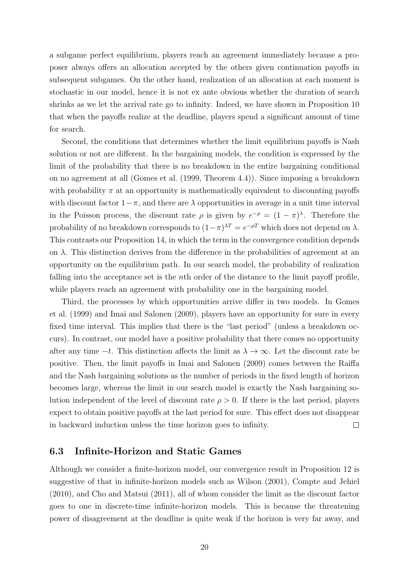a subgame perfect equilibrium, players reach an agreement immediately because a proposer always offers an allocation accepted by the others given continuation payoffs in subsequent subgames. On the other hand, realization of an allocation at each moment is stochastic in our model, hence it is not ex ante obvious whether the duration of search shrinks as we let the arrival rate go to infinity. Indeed, we have shown in Proposition 10 that when the payoffs realize at the deadline, players spend a significant amount of time for search.

Second, the conditions that determines whether the limit equilibrium payoffs is Nash solution or not are different. In the bargaining models, the condition is expressed by the limit of the probability that there is no breakdown in the entire bargaining conditional on no agreement at all (Gomes et al. (1999, Theorem 4.4)). Since imposing a breakdown with probability  $\pi$  at an opportunity is mathematically equivalent to discounting payoffs with discount factor  $1-\pi$ , and there are  $\lambda$  opportunities in average in a unit time interval in the Poisson process, the discount rate  $\rho$  is given by  $e^{-\rho} = (1 - \pi)^{\lambda}$ . Therefore the probability of no breakdown corresponds to  $(1-\pi)^{\lambda T} = e^{-\rho T}$  which does not depend on  $\lambda$ . This contrasts our Proposition 14, in which the term in the convergence condition depends on  $\lambda$ . This distinction derives from the difference in the probabilities of agreement at an opportunity on the equilibrium path. In our search model, the probability of realization falling into the acceptance set is the *n*th order of the distance to the limit payoff profile, while players reach an agreement with probability one in the bargaining model.

Third, the processes by which opportunities arrive differ in two models. In Gomes et al. (1999) and Imai and Salonen (2009), players have an opportunity for sure in every fixed time interval. This implies that there is the "last period" (unless a breakdown occurs). In contrast, our model have a positive probability that there comes no opportunity after any time *−t*. This distinction affects the limit as *λ → ∞*. Let the discount rate be positive. Then, the limit payoffs in Imai and Salonen (2009) comes between the Raiffa and the Nash bargaining solutions as the number of periods in the fixed length of horizon becomes large, whereas the limit in our search model is exactly the Nash bargaining solution independent of the level of discount rate  $\rho > 0$ . If there is the last period, players expect to obtain positive payoffs at the last period for sure. This effect does not disappear in backward induction unless the time horizon goes to infinity.  $\Box$ 

### **6.3 Infinite-Horizon and Static Games**

Although we consider a finite-horizon model, our convergence result in Proposition 12 is suggestive of that in infinite-horizon models such as Wilson (2001), Compte and Jehiel (2010), and Cho and Matsui (2011), all of whom consider the limit as the discount factor goes to one in discrete-time infinite-horizon models. This is because the threatening power of disagreement at the deadline is quite weak if the horizon is very far away, and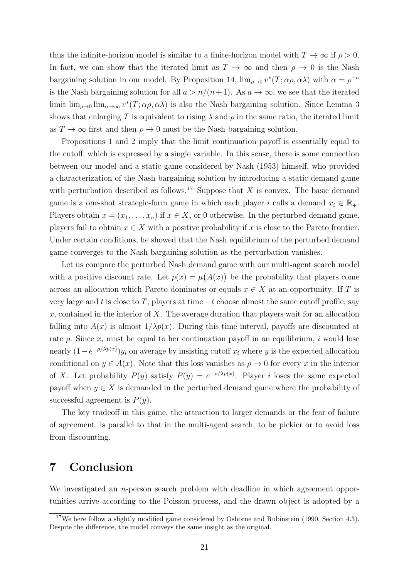thus the infinite-horizon model is similar to a finite-horizon model with  $T \to \infty$  if  $\rho > 0$ . In fact, we can show that the iterated limit as  $T \to \infty$  and then  $\rho \to 0$  is the Nash bargaining solution in our model. By Proposition 14,  $\lim_{\rho\to 0} v^*(T; \alpha \rho, \alpha \lambda)$  with  $\alpha = \rho^{-a}$ is the Nash bargaining solution for all  $a > n/(n+1)$ . As  $a \to \infty$ , we see that the iterated limit  $\lim_{\rho\to 0} \lim_{\alpha\to\infty} v^*(T;\alpha\rho,\alpha\lambda)$  is also the Nash bargaining solution. Since Lemma 3 shows that enlarging *T* is equivalent to rising  $\lambda$  and  $\rho$  in the same ratio, the iterated limit as  $T \to \infty$  first and then  $\rho \to 0$  must be the Nash bargaining solution.

Propositions 1 and 2 imply that the limit continuation payoff is essentially equal to the cutoff, which is expressed by a single variable. In this sense, there is some connection between our model and a static game considered by Nash (1953) himself, who provided a characterization of the Nash bargaining solution by introducing a static demand game with perturbation described as follows.<sup>17</sup> Suppose that  $X$  is convex. The basic demand game is a one-shot strategic-form game in which each player *i* calls a demand  $x_i \in \mathbb{R}_+$ . Players obtain  $x = (x_1, \ldots, x_n)$  if  $x \in X$ , or 0 otherwise. In the perturbed demand game, players fail to obtain  $x \in X$  with a positive probability if x is close to the Pareto frontier. Under certain conditions, he showed that the Nash equilibrium of the perturbed demand game converges to the Nash bargaining solution as the perturbation vanishes.

Let us compare the perturbed Nash demand game with our multi-agent search model with a positive discount rate. Let  $p(x) = \mu(A(x))$  be the probability that players come across an allocation which Pareto dominates or equals  $x \in X$  at an opportunity. If *T* is very large and *t* is close to *T*, players at time *−t* choose almost the same cutoff profile, say *x*, contained in the interior of *X*. The average duration that players wait for an allocation falling into  $A(x)$  is almost  $1/\lambda p(x)$ . During this time interval, payoffs are discounted at rate  $\rho$ . Since  $x_i$  must be equal to her continuation payoff in an equilibrium, *i* would lose nearly  $(1 - e^{-\rho/\lambda p(x)})y_i$  on average by insisting cutoff  $x_i$  where *y* is the expected allocation conditional on  $y \in A(x)$ . Note that this loss vanishes as  $\rho \to 0$  for every *x* in the interior of *X*. Let probability  $P(y)$  satisfy  $P(y) = e^{-\rho/\lambda p(x)}$ . Player *i* loses the same expected payoff when  $y \in X$  is demanded in the perturbed demand game where the probability of successful agreement is *P*(*y*).

The key tradeoff in this game, the attraction to larger demands or the fear of failure of agreement, is parallel to that in the multi-agent search, to be pickier or to avoid loss from discounting.

# **7 Conclusion**

We investigated an *n*-person search problem with deadline in which agreement opportunities arrive according to the Poisson process, and the drawn object is adopted by a

<sup>&</sup>lt;sup>17</sup>We here follow a slightly modified game considered by Osborne and Rubinstein (1990, Section 4.3). Despite the difference, the model conveys the same insight as the original.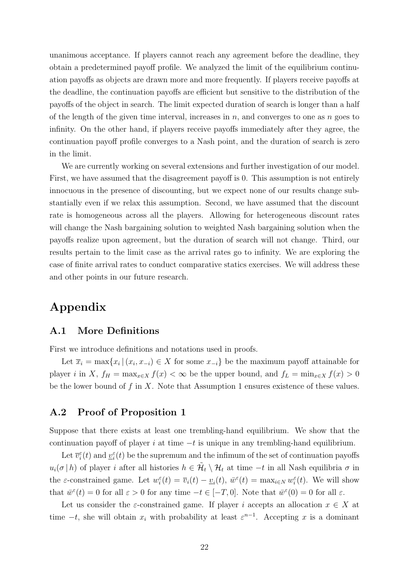unanimous acceptance. If players cannot reach any agreement before the deadline, they obtain a predetermined payoff profile. We analyzed the limit of the equilibrium continuation payoffs as objects are drawn more and more frequently. If players receive payoffs at the deadline, the continuation payoffs are efficient but sensitive to the distribution of the payoffs of the object in search. The limit expected duration of search is longer than a half of the length of the given time interval, increases in *n*, and converges to one as *n* goes to infinity. On the other hand, if players receive payoffs immediately after they agree, the continuation payoff profile converges to a Nash point, and the duration of search is zero in the limit.

We are currently working on several extensions and further investigation of our model. First, we have assumed that the disagreement payoff is 0. This assumption is not entirely innocuous in the presence of discounting, but we expect none of our results change substantially even if we relax this assumption. Second, we have assumed that the discount rate is homogeneous across all the players. Allowing for heterogeneous discount rates will change the Nash bargaining solution to weighted Nash bargaining solution when the payoffs realize upon agreement, but the duration of search will not change. Third, our results pertain to the limit case as the arrival rates go to infinity. We are exploring the case of finite arrival rates to conduct comparative statics exercises. We will address these and other points in our future research.

# **Appendix**

### **A.1 More Definitions**

First we introduce definitions and notations used in proofs.

Let  $\overline{x}_i = \max\{x_i \mid (x_i, x_{-i}) \in X \text{ for some } x_{-i}\}\$  be the maximum payoff attainable for player *i* in *X*,  $f_H = \max_{x \in X} f(x) < \infty$  be the upper bound, and  $f_L = \min_{x \in X} f(x) > 0$ be the lower bound of *f* in *X*. Note that Assumption 1 ensures existence of these values.

### **A.2 Proof of Proposition 1**

Suppose that there exists at least one trembling-hand equilibrium. We show that the continuation payoff of player *i* at time *−t* is unique in any trembling-hand equilibrium.

Let  $\overline{v}_i^{\varepsilon}(t)$  and  $\underline{v}_i^{\varepsilon}(t)$  be the supremum and the infimum of the set of continuation payoffs  $u_i(\sigma | h)$  of player *i* after all histories  $h \in \tilde{H}_t \setminus H_t$  at time  $-t$  in all Nash equilibria  $\sigma$  in the  $\varepsilon$ -constrained game. Let  $w_i^{\varepsilon}(t) = \overline{v}_i(t) - \underline{v}_i(t)$ ,  $\overline{w}^{\varepsilon}(t) = \max_{i \in N} w_i^{\varepsilon}(t)$ . We will show that  $\bar{w}^{\varepsilon}(t) = 0$  for all  $\varepsilon > 0$  for any time  $-t \in [-T, 0]$ . Note that  $\bar{w}^{\varepsilon}(0) = 0$  for all  $\varepsilon$ .

Let us consider the *ε*-constrained game. If player *i* accepts an allocation  $x \in X$  at time  $-t$ , she will obtain  $x_i$  with probability at least  $\varepsilon^{n-1}$ . Accepting *x* is a dominant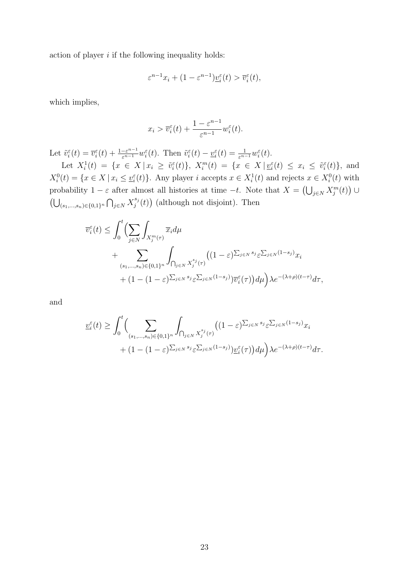action of player *i* if the following inequality holds:

$$
\varepsilon^{n-1}x_i + (1 - \varepsilon^{n-1})\underline{v}_i^{\varepsilon}(t) > \overline{v}_i^{\varepsilon}(t),
$$

which implies,

$$
x_i > \overline{v}_i^{\varepsilon}(t) + \frac{1 - \varepsilon^{n-1}}{\varepsilon^{n-1}} w_i^{\varepsilon}(t).
$$

Let  $\tilde{v}_{i}^{\varepsilon}(t) = \overline{v}_{i}^{\varepsilon}(t) + \frac{1-\varepsilon^{n-1}}{\varepsilon^{n-1}} w_{i}^{\varepsilon}(t)$ . Then  $\tilde{v}_{i}^{\varepsilon}(t) - \underline{v}_{i}^{\varepsilon}(t) = \frac{1}{\varepsilon^{n-1}} w_{i}^{\varepsilon}(t)$ .

Let  $X_i^1(t) = \{x \in X | x_i \ge \tilde{v}_i^{\varepsilon}(t)\},\ X_i^m(t) = \{x \in X | \underline{v}_i^{\varepsilon}(t) \le x_i \le \tilde{v}_i^{\varepsilon}(t)\},\$ and  $X_i^0(t) = \{x \in X \mid x_i \leq \underline{v}_i^{\varepsilon}(t)\}.$  Any player i accepts  $x \in X_i^1(t)$  and rejects  $x \in X_i^0(t)$  with probability 1 − *ε* after almost all histories at time  $-t$ . Note that  $X = (\bigcup_{j \in N} X_j^m(t))$  ∪ (∪ (*s*1*,...,sn*)*∈{*0*,*1*}<sup>n</sup>* ∩ *<sup>j</sup>∈<sup>N</sup> X sj*  $j^{s_j}(t)$  (although not disjoint). Then

$$
\overline{v}_{i}^{\varepsilon}(t) \leq \int_{0}^{t} \left( \sum_{j \in N} \int_{X_{j}^{m}(\tau)} \overline{x}_{i} d\mu + \sum_{(s_{1},...,s_{n}) \in \{0,1\}^{n}} \int_{\bigcap_{j \in N} X_{j}^{s_{j}}(\tau)} \left( (1-\varepsilon)^{\sum_{j \in N} s_{j}} \varepsilon^{\sum_{j \in N} (1-s_{j})} x_{i} + (1-(1-\varepsilon)^{\sum_{j \in N} s_{j}} \varepsilon^{\sum_{j \in N} (1-s_{j})} \right) \overline{v}_{i}^{\varepsilon}(\tau) d\mu \right) \lambda e^{-(\lambda+\rho)(t-\tau)} d\tau,
$$

and

$$
\underline{v}_{i}^{\varepsilon}(t) \geq \int_{0}^{t} \Biggl(\sum_{(s_{1},...,s_{n}) \in \{0,1\}^{n}} \int_{\bigcap_{j \in N} X_{j}^{s_{j}}(\tau)} \Biggl((1-\varepsilon)^{\sum_{j \in N} s_{j}} \varepsilon^{\sum_{j \in N} (1-s_{j})} x_{i} + (1-(1-\varepsilon)^{\sum_{j \in N} s_{j}} \varepsilon^{\sum_{j \in N} (1-s_{j})} \Biggr) \underline{v}_{i}^{\varepsilon}(\tau) \Biggr) d\mu \Biggr) \lambda e^{-(\lambda+\rho)(t-\tau)} d\tau.
$$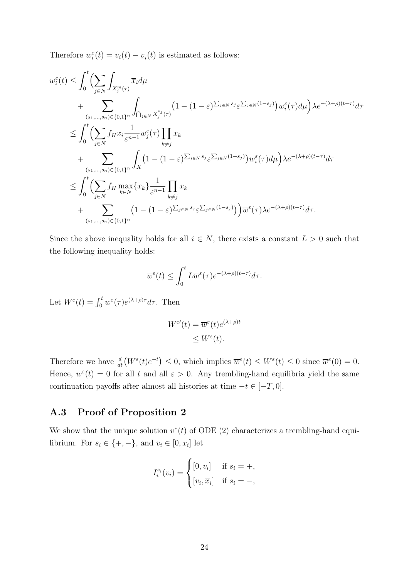Therefore  $w_i^{\varepsilon}(t) = \overline{v}_i(t) - \underline{v}_i(t)$  is estimated as follows:

$$
w_i^{\varepsilon}(t) \leq \int_0^t \Biggl(\sum_{j\in N} \int_{X_j^m(\tau)} \overline{x}_i d\mu + \sum_{(s_1,\ldots,s_n)\in\{0,1\}^n} \int_{\bigcap_{j\in N} X_j^{s_j}(\tau)} \Bigl(1 - (1-\varepsilon)^{\sum_{j\in N} s_j} \varepsilon^{\sum_{j\in N} (1-s_j)}\Bigr) w_i^{\varepsilon}(\tau) d\mu\Bigr) \lambda e^{-(\lambda+\rho)(t-\tau)} d\tau
$$
  

$$
\leq \int_0^t \Biggl(\sum_{j\in N} f_H \overline{x}_i \frac{1}{\varepsilon^{n-1}} w_j^{\varepsilon}(\tau) \prod_{k\neq j} \overline{x}_k + \sum_{(s_1,\ldots,s_n)\in\{0,1\}^n} \int_X \Bigl(1 - (1-\varepsilon)^{\sum_{j\in N} s_j} \varepsilon^{\sum_{j\in N} (1-s_j)}\Bigr) w_i^{\varepsilon}(\tau) d\mu\Bigr) \lambda e^{-(\lambda+\rho)(t-\tau)} d\tau
$$
  

$$
\leq \int_0^t \Biggl(\sum_{j\in N} f_H \max_{k\in N} \{\overline{x}_k\} \frac{1}{\varepsilon^{n-1}} \prod_{k\neq j} \overline{x}_k + \sum_{(s_1,\ldots,s_n)\in\{0,1\}^n} \Bigl(1 - (1-\varepsilon)^{\sum_{j\in N} s_j} \varepsilon^{\sum_{j\in N} (1-s_j)}\Bigr)\Bigr) \overline{w}^{\varepsilon}(\tau) \lambda e^{-(\lambda+\rho)(t-\tau)} d\tau.
$$

Since the above inequality holds for all  $i \in N$ , there exists a constant  $L > 0$  such that the following inequality holds:

$$
\overline{w}^{\varepsilon}(t) \leq \int_0^t L \overline{w}^{\varepsilon}(\tau) e^{-(\lambda+\rho)(t-\tau)} d\tau.
$$

Let  $W^{\varepsilon}(t) = \int_0^t \overline{w}^{\varepsilon}(\tau) e^{(\lambda + \rho)\tau} d\tau$ . Then

$$
W^{\varepsilon\prime}(t) = \overline{w}^{\varepsilon}(t)e^{(\lambda+\rho)t}
$$

$$
\leq W^{\varepsilon}(t).
$$

Therefore we have  $\frac{d}{dt}(W^{\varepsilon}(t)e^{-t}) \leq 0$ , which implies  $\overline{w}^{\varepsilon}(t) \leq W^{\varepsilon}(t) \leq 0$  since  $\overline{w}^{\varepsilon}(0) = 0$ . Hence,  $\overline{w}^{\epsilon}(t) = 0$  for all t and all  $\epsilon > 0$ . Any trembling-hand equilibria yield the same continuation payoffs after almost all histories at time *−t ∈* [*−T,* 0].

### **A.3 Proof of Proposition 2**

We show that the unique solution  $v^*(t)$  of ODE (2) characterizes a trembling-hand equilibrium. For  $s_i \in \{+, -\}$ , and  $v_i \in [0, \overline{x}_i]$  let

$$
I_i^{s_i}(v_i) = \begin{cases} [0, v_i] & \text{if } s_i = +, \\ [v_i, \overline{x}_i] & \text{if } s_i = -, \end{cases}
$$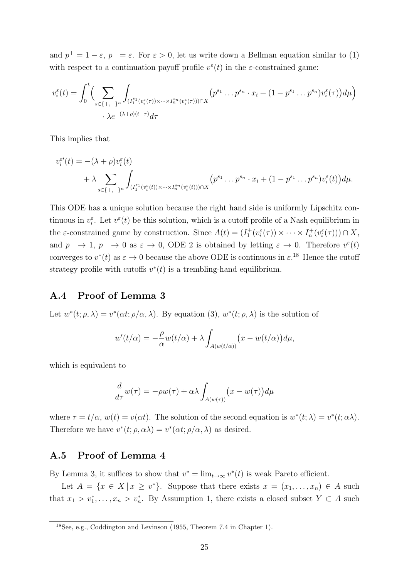and  $p^+ = 1 - \varepsilon$ ,  $p^- = \varepsilon$ . For  $\varepsilon > 0$ , let us write down a Bellman equation similar to (1) with respect to a continuation payoff profile  $v^{\varepsilon}(t)$  in the *ε*-constrained game:

$$
v_i^{\varepsilon}(t) = \int_0^t \Big( \sum_{s \in \{+, -\}^n} \int_{(I_1^{s_1}(v_i^{\varepsilon}(\tau)) \times \dots \times I_n^{s_n}(v_i^{\varepsilon}(\tau))) \cap X} \Big( p^{s_1} \dots p^{s_n} \cdot x_i + (1 - p^{s_1} \dots p^{s_n}) v_i^{\varepsilon}(\tau) \Big) d\mu \Big)
$$
  
 
$$
\cdot \lambda e^{-(\lambda + \rho)(t - \tau)} d\tau
$$

This implies that

$$
v_i^{\varepsilon'}(t) = -(\lambda + \rho)v_i^{\varepsilon}(t) + \lambda \sum_{s \in \{+,-\}^n} \int_{(I_1^{s_1}(v_i^{\varepsilon}(t)) \times \dots \times I_n^{s_n}(v_i^{\varepsilon}(t))) \cap X} (p^{s_1} \dots p^{s_n} \cdot x_i + (1 - p^{s_1} \dots p^{s_n})v_i^{\varepsilon}(t)) d\mu.
$$

This ODE has a unique solution because the right hand side is uniformly Lipschitz continuous in  $v_i^{\varepsilon}$ . Let  $v^{\varepsilon}(t)$  be this solution, which is a cutoff profile of a Nash equilibrium in the  $\varepsilon$ -constrained game by construction. Since  $A(t) = (I_1^+(v_i^{\varepsilon}(\tau)) \times \cdots \times I_n^+(v_i^{\varepsilon}(\tau))) \cap X$ , and  $p^+ \to 1$ ,  $p^- \to 0$  as  $\varepsilon \to 0$ , ODE 2 is obtained by letting  $\varepsilon \to 0$ . Therefore  $v^{\varepsilon}(t)$ converges to  $v^*(t)$  as  $\varepsilon \to 0$  because the above ODE is continuous in  $\varepsilon$ <sup>18</sup>. Hence the cutoff strategy profile with cutoffs  $v^*(t)$  is a trembling-hand equilibrium.

### **A.4 Proof of Lemma 3**

Let  $w^*(t; \rho, \lambda) = v^*(\alpha t; \rho/\alpha, \lambda)$ . By equation (3),  $w^*(t; \rho, \lambda)$  is the solution of

$$
w'(t/\alpha) = -\frac{\rho}{\alpha}w(t/\alpha) + \lambda \int_{A(w(t/\alpha))} (x - w(t/\alpha)) d\mu,
$$

which is equivalent to

$$
\frac{d}{d\tau}w(\tau) = -\rho w(\tau) + \alpha \lambda \int_{A(w(\tau))} (x - w(\tau)) d\mu
$$

where  $\tau = t/\alpha$ ,  $w(t) = v(\alpha t)$ . The solution of the second equation is  $w^*(t; \lambda) = v^*(t; \alpha \lambda)$ . Therefore we have  $v^*(t; \rho, \alpha \lambda) = v^*(\alpha t; \rho/\alpha, \lambda)$  as desired.

### **A.5 Proof of Lemma 4**

By Lemma 3, it suffices to show that  $v^* = \lim_{t \to \infty} v^*(t)$  is weak Pareto efficient.

Let  $A = \{x \in X \mid x \geq v^*\}$ . Suppose that there exists  $x = (x_1, \ldots, x_n) \in A$  such that  $x_1 > v_1^*, \ldots, x_n > v_n^*$ . By Assumption 1, there exists a closed subset  $Y \subset A$  such

<sup>18</sup>See, e.g., Coddington and Levinson (1955, Theorem 7.4 in Chapter 1).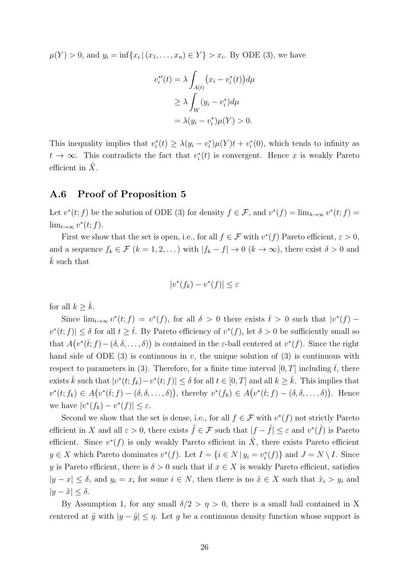$\mu(Y) > 0$ , and  $y_i = \inf\{x_i | (x_1, \ldots, x_n) \in Y\} > x_i$ . By ODE (3), we have

$$
v_i^{*'}(t) = \lambda \int_{A(t)} (x_i - v_i^{*}(t)) d\mu
$$
  
\n
$$
\geq \lambda \int_W (y_i - v_i^{*}) d\mu
$$
  
\n
$$
= \lambda (y_i - v_i^{*}) \mu(Y) > 0.
$$

This inequality implies that  $v_i^*(t) \geq \lambda(y_i - v_i^*)\mu(Y)t + v_i^*(0)$ , which tends to infinity as  $t \to \infty$ . This contradicts the fact that  $v_i^*(t)$  is convergent. Hence *x* is weakly Pareto efficient in X.

### **A.6 Proof of Proposition 5**

Let  $v^*(t; f)$  be the solution of ODE (3) for density  $f \in \mathcal{F}$ , and  $v^*(f) = \lim_{\lambda \to \infty} v^*(t; f) =$ lim<sub>*t*→∞</sub>  $v^*(t; f)$ .

First we show that the set is open, i.e., for all  $f \in \mathcal{F}$  with  $v^*(f)$  Pareto efficient,  $\varepsilon > 0$ , and a sequence  $f_k \in \mathcal{F}$   $(k = 1, 2, \ldots)$  with  $|f_k - f| \to 0$   $(k \to \infty)$ , there exist  $\delta > 0$  and ¯*k* such that

$$
|v^*(f_k) - v^*(f)| \le \varepsilon
$$

for all  $k \geq \bar{k}$ .

Since  $\lim_{t\to\infty} v^*(t; f) = v^*(f)$ , for all  $\delta > 0$  there exists  $\bar{t} > 0$  such that  $|v^*(f) - f|$  $v^*(t; f) \leq \delta$  for all  $t \geq \overline{t}$ . By Pareto efficiency of  $v^*(f)$ , let  $\delta > 0$  be sufficiently small so that  $A(v^*(\bar{t};f) - (\delta, \delta, \ldots, \delta))$  is contained in the *ε*-ball centered at  $v^*(f)$ . Since the right hand side of ODE  $(3)$  is continuous in *v*, the unique solution of  $(3)$  is continuous with respect to parameters in (3). Therefore, for a finite time interval  $[0, T]$  including  $\bar{t}$ , there exists  $\bar{k}$  such that  $|v^*(t; f_k) - v^*(t; f)| \leq \delta$  for all  $t \in [0, T]$  and all  $k \geq \bar{k}$ . This implies that  $v^*(t;f_k) \in A(v^*(\bar{t};f) - (\delta,\delta,\ldots,\delta)),$  thereby  $v^*(f_k) \in A(v^*(\bar{t};f) - (\delta,\delta,\ldots,\delta)).$  Hence we have  $|v^*(f_k) - v^*(f)| \leq \varepsilon$ .

Second we show that the set is dense, i.e., for all  $f \in \mathcal{F}$  with  $v^*(f)$  not strictly Pareto efficient in *X* and all  $\varepsilon > 0$ , there exists  $\tilde{f} \in \mathcal{F}$  such that  $|f - \tilde{f}| \leq \varepsilon$  and  $v^*(\tilde{f})$  is Pareto efficient. Since  $v^*(f)$  is only weakly Pareto efficient in  $\hat{X}$ , there exists Pareto efficient  $y \in X$  which Pareto dominates  $v^*(f)$ . Let  $I = \{i \in N \mid y_i = v_i^*(f)\}\$ and  $J = N \setminus I$ . Since *y* is Pareto efficient, there is  $\delta > 0$  such that if  $x \in X$  is weakly Pareto efficient, satisfies  $|y-x| \leq \delta$ , and  $y_i = x_i$  for some  $i \in N$ , then there is no  $\tilde{x} \in X$  such that  $\tilde{x}_i > y_i$  and  $|y - \tilde{x}|$  ≤ *δ*.

By Assumption 1, for any small  $\delta/2 > \eta > 0$ , there is a small ball contained in X centered at  $\tilde{y}$  with  $|y - \tilde{y}| \leq \eta$ . Let *g* be a continuous density function whose support is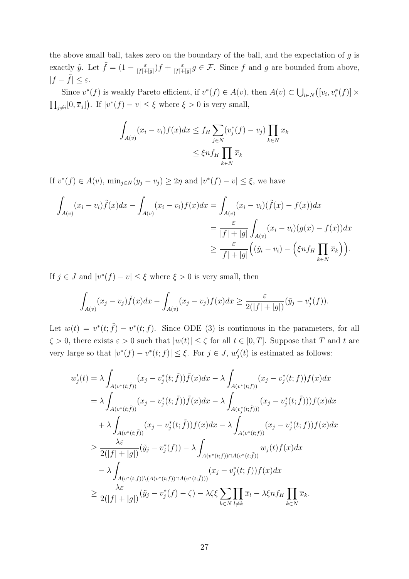the above small ball, takes zero on the boundary of the ball, and the expectation of *g* is exactly  $\tilde{y}$ . Let  $\tilde{f} = (1 - \frac{\varepsilon}{|f|+1})$  $\frac{\varepsilon}{|f|+|g|}$ )  $f + \frac{\varepsilon}{|f|+|g|}$  $\frac{\varepsilon}{|f|+|g|}g \in \mathcal{F}$ . Since *f* and *g* are bounded from above,  $|f - \tilde{f}| \leq \varepsilon$ .

Since  $v^*(f)$  is weakly Pareto efficient, if  $v^*(f) \in A(v)$ , then  $A(v) \subset \bigcup_{i \in N} ([v_i, v_i^*(f)] \times$  $\prod_{j\neq i}[0,\overline{x}_j]$ . If  $|v^*(f) - v| \leq \xi$  where  $\xi > 0$  is very small,

$$
\int_{A(v)} (x_i - v_i) f(x) dx \le f_H \sum_{j \in N} (v_j^*(f) - v_j) \prod_{k \in N} \overline{x}_k
$$
\n
$$
\le \xi n f_H \prod_{k \in N} \overline{x}_k
$$

If  $v^*(f) \in A(v)$ ,  $\min_{j \in N}(y_j - v_j) \geq 2\eta$  and  $|v^*(f) - v| \leq \xi$ , we have

$$
\int_{A(v)} (x_i - v_i) \tilde{f}(x) dx - \int_{A(v)} (x_i - v_i) f(x) dx = \int_{A(v)} (x_i - v_i) (\tilde{f}(x) - f(x)) dx
$$
  
\n
$$
= \frac{\varepsilon}{|f| + |g|} \int_{A(v)} (x_i - v_i) (g(x) - f(x)) dx
$$
  
\n
$$
\geq \frac{\varepsilon}{|f| + |g|} \left( (\tilde{y}_i - v_i) - \left( \xi n f_H \prod_{k \in N} \overline{x}_k \right) \right).
$$

If  $j \in J$  and  $|v^*(f) - v| \leq \xi$  where  $\xi > 0$  is very small, then

$$
\int_{A(v)} (x_j - v_j) \tilde{f}(x) dx - \int_{A(v)} (x_j - v_j) f(x) dx \geq \frac{\varepsilon}{2(|f| + |g|)} (\tilde{y}_j - v_j^*(f)).
$$

Let  $w(t) = v^*(t; \tilde{f}) - v^*(t; f)$ . Since ODE (3) is continuous in the parameters, for all  $\zeta > 0$ , there exists  $\varepsilon > 0$  such that  $|w(t)| \leq \zeta$  for all  $t \in [0, T]$ . Suppose that *T* and *t* are very large so that  $|v^*(f) - v^*(t; f)| \leq \xi$ . For  $j \in J$ ,  $w'_j(t)$  is estimated as follows:

$$
w'_{j}(t) = \lambda \int_{A(v^{*}(t;\tilde{f}))} (x_{j} - v_{j}^{*}(t;\tilde{f})) \tilde{f}(x) dx - \lambda \int_{A(v^{*}(t;f))} (x_{j} - v_{j}^{*}(t;f)) f(x) dx
$$
  
\n
$$
= \lambda \int_{A(v^{*}(t;\tilde{f}))} (x_{j} - v_{j}^{*}(t;\tilde{f})) \tilde{f}(x) dx - \lambda \int_{A(v_{j}^{*}(t;\tilde{f})))} (x_{j} - v_{j}^{*}(t;\tilde{f}))) f(x) dx
$$
  
\n
$$
+ \lambda \int_{A(v^{*}(t;\tilde{f}))} (x_{j} - v_{j}^{*}(t;\tilde{f})) f(x) dx - \lambda \int_{A(v^{*}(t;f))} (x_{j} - v_{j}^{*}(t;f)) f(x) dx
$$
  
\n
$$
\geq \frac{\lambda \varepsilon}{2(|f| + |g|)} (\tilde{y}_{j} - v_{j}^{*}(f)) - \lambda \int_{A(v^{*}(t;f)) \cap A(v^{*}(t;\tilde{f}))} w_{j}(t) f(x) dx
$$
  
\n
$$
- \lambda \int_{A(v^{*}(t;f)) \setminus (A(v^{*}(t;f)) \cap A(v^{*}(t;\tilde{f})))} (x_{j} - v_{j}^{*}(t;f)) f(x) dx
$$
  
\n
$$
\geq \frac{\lambda \varepsilon}{2(|f| + |g|)} (\tilde{y}_{j} - v_{j}^{*}(f) - \zeta) - \lambda \zeta \varepsilon \sum_{k \in N} \prod_{l \neq k} \overline{x}_{l} - \lambda \xi n f_{H} \prod_{k \in N} \overline{x}_{k}.
$$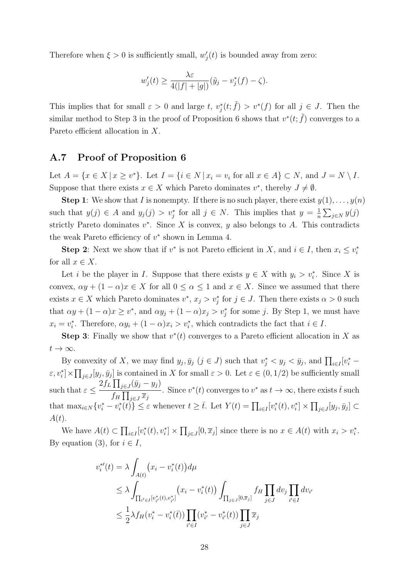Therefore when  $\xi > 0$  is sufficiently small,  $w'_{j}(t)$  is bounded away from zero:

$$
w_j'(t) \ge \frac{\lambda \varepsilon}{4(|f|+|g|)} (\tilde{y}_j - v_j^*(f) - \zeta).
$$

This implies that for small  $\varepsilon > 0$  and large *t*,  $v_j^*(t; \tilde{f}) > v^*(f)$  for all  $j \in J$ . Then the similar method to Step 3 in the proof of Proposition 6 shows that  $v^*(t; \tilde{f})$  converges to a Pareto efficient allocation in *X*.

### **A.7 Proof of Proposition 6**

Let  $A = \{x \in X \mid x \geq v^*\}$ . Let  $I = \{i \in N \mid x_i = v_i \text{ for all } x \in A\} \subset N$ , and  $J = N \setminus I$ . Suppose that there exists  $x \in X$  which Pareto dominates  $v^*$ , thereby  $J \neq \emptyset$ .

**Step 1**: We show that *I* is nonempty. If there is no such player, there exist  $y(1), \ldots, y(n)$ such that  $y(j) \in A$  and  $y_j(j) > v_j^*$  for all  $j \in N$ . This implies that  $y = \frac{1}{n}$  $\frac{1}{n}$  $\sum_{j \in N} y(j)$ strictly Pareto dominates  $v^*$ . Since  $X$  is convex,  $y$  also belongs to  $A$ . This contradicts the weak Pareto efficiency of *v ∗* shown in Lemma 4.

**Step 2**: Next we show that if  $v^*$  is not Pareto efficient in *X*, and  $i \in I$ , then  $x_i \leq v_i^*$ for all  $x \in X$ .

Let *i* be the player in *I*. Suppose that there exists  $y \in X$  with  $y_i > v_i^*$ . Since X is convex,  $\alpha y + (1 - \alpha)x \in X$  for all  $0 \leq \alpha \leq 1$  and  $x \in X$ . Since we assumed that there exists  $x \in X$  which Pareto dominates  $v^*$ ,  $x_j > v^*_j$  for  $j \in J$ . Then there exists  $\alpha > 0$  such that  $\alpha y + (1 - \alpha)x \geq v^*$ , and  $\alpha y_j + (1 - \alpha)x_j > v^*_j$  for some *j*. By Step 1, we must have  $x_i = v_i^*$ . Therefore,  $\alpha y_i + (1 - \alpha)x_i > v_i^*$ , which contradicts the fact that  $i \in I$ .

**Step 3**: Finally we show that  $v^*(t)$  converges to a Pareto efficient allocation in X as  $t \rightarrow \infty$ .

By convexity of X, we may find  $y_j, \bar{y}_j$   $(j \in J)$  such that  $v_j^* < y_j < \bar{y}_j$ , and  $\prod_{i \in I} [v_i^* \varepsilon, v_i^*] \times \prod_{j \in J} [y_j, \bar{y}_j]$  is contained in X for small  $\varepsilon > 0$ . Let  $\varepsilon \in (0, 1/2)$  be sufficiently small such that  $\varepsilon \leq$  $2f_L \prod_{j \in J} (\bar{y}_j - y_j)$  $f_H \prod_{j \in J} \overline{x}_j$ . Since  $v^*(t)$  converges to  $v^*$  as  $t \to \infty$ , there exists  $\bar{t}$  such that  $\max_{i\in N}\{v_i^* - v_i^*(t)\}\leq \varepsilon$  whenever  $t\geq \overline{t}$ . Let  $Y(t) = \prod_{i\in I}[v_i^*(t), v_i^*] \times \prod_{j\in J}[y_j, \overline{y}_j] \subset$ *A*(*t*).

We have  $A(t) \subset \prod_{i \in I} [v_i^*(t), v_i^*] \times \prod_{j \in J} [0, \overline{x}_j]$  since there is no  $x \in A(t)$  with  $x_i > v_i^*$ . By equation (3), for  $i \in I$ ,

$$
v_i^{*'}(t) = \lambda \int_{A(t)} (x_i - v_i^*(t)) d\mu
$$
  
\n
$$
\leq \lambda \int_{\prod_{i' \in I} [v_{i'}^*(t), v_{i'}^*]} (x_i - v_i^*(t)) \int_{\prod_{j \in J} [0, \overline{x}_j]} f_H \prod_{j \in J} dv_j \prod_{i' \in I} dv_{i'}
$$
  
\n
$$
\leq \frac{1}{2} \lambda f_H (v_i^* - v_i^*(t)) \prod_{i' \in I} (v_{i'}^* - v_{i'}^*(t)) \prod_{j \in J} \overline{x}_j
$$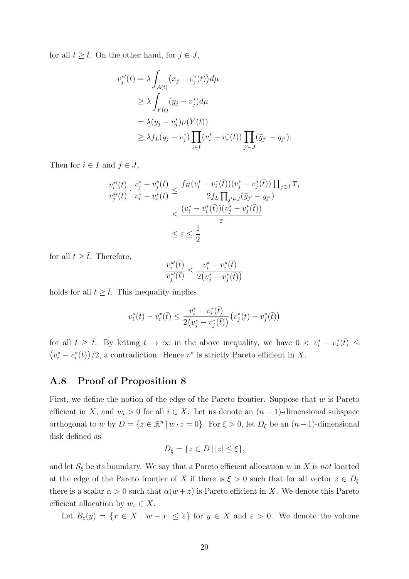for all  $t \geq \overline{t}$ . On the other hand, for  $j \in J$ ,

$$
v_j^{*'}(t) = \lambda \int_{A(t)} (x_j - v_j^{*}(t)) d\mu
$$
  
\n
$$
\geq \lambda \int_{Y(t)} (y_j - v_j^{*}) d\mu
$$
  
\n
$$
= \lambda (y_j - v_j^{*}) \mu(Y(t))
$$
  
\n
$$
\geq \lambda f_L (y_j - v_j^{*}) \prod_{i \in I} (v_i^{*} - v_i^{*}(t)) \prod_{j' \in J} (\bar{y}_{j'} - y_{j'}).
$$

Then for  $i \in I$  and  $j \in J$ ,

$$
\frac{v_i^{*'}(t)}{v_j^{*'}(t)} \cdot \frac{v_j^{*} - v_j^{*}(\bar{t})}{v_i^{*} - v_i^{*}(\bar{t})} \le \frac{f_H(v_i^{*} - v_i^{*}(\bar{t})) (v_j^{*} - v_j^{*}(\bar{t})) \prod_{j \in J} \overline{x_j}}{2f_L \prod_{j' \in J} (\bar{y}_{j'} - y_{j'})}
$$
  

$$
\le \frac{(v_i^{*} - v_i^{*}(\bar{t})) (v_j^{*} - v_j^{*}(\bar{t}))}{\varepsilon}
$$
  

$$
\le \varepsilon \le \frac{1}{2}
$$

for all  $t \geq \overline{t}$ . Therefore,

$$
\frac{v_i^{*'}(\bar{t})}{v_j^{*'}(\bar{t})} \le \frac{v_i^* - v_i^*(\bar{t})}{2(v_j^* - v_j^*(\bar{t}))}
$$

holds for all  $t \geq \overline{t}$ . This inequality implies

$$
v_i^*(t) - v_i^*(\bar{t}) \le \frac{v_i^* - v_i^*(\bar{t})}{2(v_j^* - v_j^*(\bar{t}))} \left(v_j^*(t) - v_j^*(\bar{t})\right)
$$

for all  $t \geq \overline{t}$ . By letting  $t \to \infty$  in the above inequality, we have  $0 \lt v_i^* - v_i^*(\overline{t}) \leq$  $(v_i^* - v_i^*(\overline{t}))/2$ , a contradiction. Hence  $v^*$  is strictly Pareto efficient in *X*.

### **A.8 Proof of Proposition 8**

First, we define the notion of the edge of the Pareto frontier. Suppose that *w* is Pareto efficient in *X*, and  $w_i > 0$  for all  $i \in X$ . Let us denote an  $(n-1)$ -dimensional subspace orthogonal to *w* by  $D = \{z \in \mathbb{R}^n \mid w \cdot z = 0\}$ . For  $\xi > 0$ , let  $D_{\xi}$  be an  $(n-1)$ -dimensional disk defined as

$$
D_{\xi} = \{ z \in D \mid |z| \le \xi \},\
$$

and let  $S_{\xi}$  be its boundary. We say that a Pareto efficient allocation *w* in *X* is *not* located at the edge of the Pareto frontier of *X* if there is  $\xi > 0$  such that for all vector  $z \in D_{\xi}$ there is a scalar  $\alpha > 0$  such that  $\alpha(w + z)$  is Pareto efficient in *X*. We denote this Pareto efficient allocation by  $w_z \in X$ .

Let  $B_{\varepsilon}(y) = \{x \in X \mid |w - x| \leq \varepsilon\}$  for  $y \in X$  and  $\varepsilon > 0$ . We denote the volume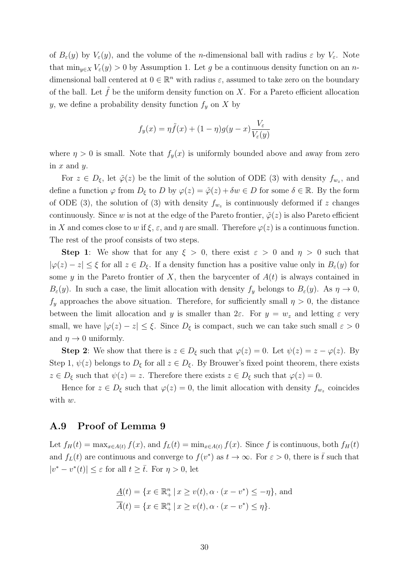of  $B_{\varepsilon}(y)$  by  $V_{\varepsilon}(y)$ , and the volume of the *n*-dimensional ball with radius  $\varepsilon$  by  $V_{\varepsilon}$ . Note that  $\min_{y \in X} V_{\varepsilon}(y) > 0$  by Assumption 1. Let *g* be a continuous density function on an *n*dimensional ball centered at  $0 \in \mathbb{R}^n$  with radius  $\varepsilon$ , assumed to take zero on the boundary of the ball. Let  $f$  be the uniform density function on  $X$ . For a Pareto efficient allocation *y*, we define a probability density function  $f_y$  on *X* by

$$
f_y(x) = \eta \tilde{f}(x) + (1 - \eta)g(y - x)\frac{V_{\varepsilon}}{V_{\varepsilon}(y)}
$$

where  $\eta > 0$  is small. Note that  $f_y(x)$  is uniformly bounded above and away from zero in *x* and *y*.

For  $z \in D_{\xi}$ , let  $\tilde{\varphi}(z)$  be the limit of the solution of ODE (3) with density  $f_{w_z}$ , and define a function  $\varphi$  from  $D_{\xi}$  to  $D$  by  $\varphi(z) = \tilde{\varphi}(z) + \delta w \in D$  for some  $\delta \in \mathbb{R}$ . By the form of ODE (3), the solution of (3) with density  $f_{w_z}$  is continuously deformed if *z* changes continuously. Since *w* is not at the edge of the Pareto frontier,  $\tilde{\varphi}(z)$  is also Pareto efficient in *X* and comes close to *w* if  $\xi$ ,  $\varepsilon$ , and  $\eta$  are small. Therefore  $\varphi(z)$  is a continuous function. The rest of the proof consists of two steps.

**Step 1**: We show that for any  $\xi > 0$ , there exist  $\varepsilon > 0$  and  $\eta > 0$  such that *|* $\varphi(z)$  *− <i>z*| ≤  $\xi$  for all *z*  $\in$  *D*<sub> $\xi$ </sub>. If a density function has a positive value only in *B*<sub> $ε$ </sub>(*y*) for some *y* in the Pareto frontier of *X*, then the barycenter of  $A(t)$  is always contained in *B*<sub>ε</sub>(*y*). In such a case, the limit allocation with density  $f_y$  belongs to  $B_\varepsilon(y)$ . As  $\eta \to 0$ ,  $f_y$  approaches the above situation. Therefore, for sufficiently small  $\eta > 0$ , the distance between the limit allocation and *y* is smaller than  $2\varepsilon$ . For  $y = w_z$  and letting  $\varepsilon$  very small, we have  $|\varphi(z) - z| \leq \xi$ . Since  $D_{\xi}$  is compact, such we can take such small  $\varepsilon > 0$ and  $\eta \rightarrow 0$  uniformly.

**Step 2**: We show that there is  $z \in D_{\xi}$  such that  $\varphi(z) = 0$ . Let  $\psi(z) = z - \varphi(z)$ . By Step 1,  $\psi(z)$  belongs to  $D_{\xi}$  for all  $z \in D_{\xi}$ . By Brouwer's fixed point theorem, there exists  $z \in D_{\xi}$  such that  $\psi(z) = z$ . Therefore there exists  $z \in D_{\xi}$  such that  $\varphi(z) = 0$ .

Hence for  $z \in D_{\xi}$  such that  $\varphi(z) = 0$ , the limit allocation with density  $f_{w_z}$  coincides with *w*.

### **A.9 Proof of Lemma 9**

Let  $f_H(t) = \max_{x \in A(t)} f(x)$ , and  $f_L(t) = \min_{x \in A(t)} f(x)$ . Since f is continuous, both  $f_H(t)$ and  $f_L(t)$  are continuous and converge to  $f(v^*)$  as  $t \to \infty$ . For  $\varepsilon > 0$ , there is  $\bar{t}$  such that  $|v^* - v^*(t)| \leq \varepsilon$  for all  $t \geq \overline{t}$ . For  $\eta > 0$ , let

$$
\underline{A}(t) = \{ x \in \mathbb{R}_+^n \mid x \ge v(t), \alpha \cdot (x - v^*) \le -\eta \}, \text{ and}
$$

$$
\overline{A}(t) = \{ x \in \mathbb{R}_+^n \mid x \ge v(t), \alpha \cdot (x - v^*) \le \eta \}.
$$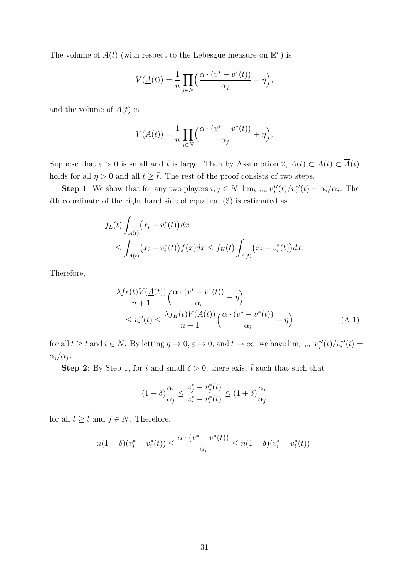The volume of  $\underline{A}(t)$  (with respect to the Lebesgue measure on  $\mathbb{R}^n$ ) is

$$
V(\underline{A}(t)) = \frac{1}{n} \prod_{j \in N} \left( \frac{\alpha \cdot (v^* - v^*(t))}{\alpha_j} - \eta \right),
$$

and the volume of  $\overline{A}(t)$  is

$$
V(\overline{A}(t)) = \frac{1}{n} \prod_{j \in N} \left( \frac{\alpha \cdot (v^* - v^*(t))}{\alpha_j} + \eta \right).
$$

Suppose that  $\varepsilon > 0$  is small and  $\bar{t}$  is large. Then by Assumption 2,  $\underline{A}(t) \subset \overline{A}(t)$ holds for all  $\eta > 0$  and all  $t \geq \overline{t}$ . The rest of the proof consists of two steps.

**Step 1**: We show that for any two players  $i, j \in N$ ,  $\lim_{t \to \infty} v_j^{*'}(t)/v_i^{*'}(t) = \alpha_i/\alpha_j$ . The *i*th coordinate of the right hand side of equation (3) is estimated as

$$
f_L(t) \int_{\underline{A}(t)} (x_i - v_i^*(t)) dx
$$
  
 
$$
\leq \int_{A(t)} (x_i - v_i^*(t)) f(x) dx \leq f_H(t) \int_{\overline{A}(t)} (x_i - v_i^*(t)) dx.
$$

Therefore,

$$
\frac{\lambda f_L(t)V(\underline{A}(t))}{n+1} \left( \frac{\alpha \cdot (v^* - v^*(t))}{\alpha_i} - \eta \right)
$$
  
\n
$$
\leq v_i^{*'}(t) \leq \frac{\lambda f_H(t)V(\overline{A}(t))}{n+1} \left( \frac{\alpha \cdot (v^* - v^*(t))}{\alpha_i} + \eta \right)
$$
\n(A.1)

for all  $t \geq \overline{t}$  and  $i \in N$ . By letting  $\eta \to 0$ ,  $\varepsilon \to 0$ , and  $t \to \infty$ , we have  $\lim_{t \to \infty} v_j^{*}(t)/v_i^{*}(t) =$  $\alpha_i/\alpha_j$ .

**Step 2**: By Step 1, for *i* and small  $\delta > 0$ , there exist  $\tilde{t}$  such that such that

$$
(1 - \delta) \frac{\alpha_i}{\alpha_j} \le \frac{v_j^* - v_j^*(t)}{v_i^* - v_i^*(t)} \le (1 + \delta) \frac{\alpha_i}{\alpha_j}
$$

for all  $t \geq \tilde{t}$  and  $j \in N$ . Therefore,

$$
n(1 - \delta)(v_i^* - v_i^*(t)) \le \frac{\alpha \cdot (v^* - v^*(t))}{\alpha_i} \le n(1 + \delta)(v_i^* - v_i^*(t)).
$$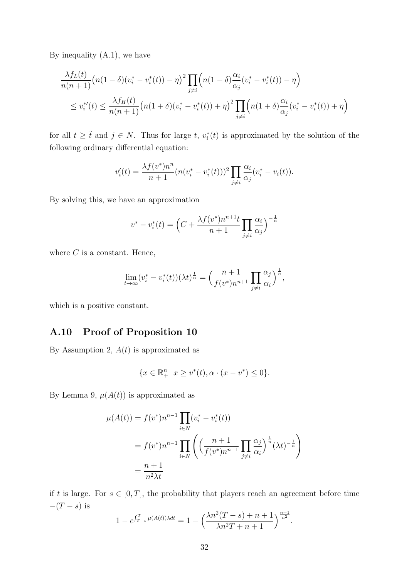By inequality  $(A.1)$ , we have

$$
\frac{\lambda f_L(t)}{n(n+1)} \left( n(1-\delta)(v_i^* - v_i^*(t)) - \eta \right)^2 \prod_{j \neq i} \left( n(1-\delta) \frac{\alpha_i}{\alpha_j} (v_i^* - v_i^*(t)) - \eta \right)
$$
  

$$
\leq v_i^{*'}(t) \leq \frac{\lambda f_H(t)}{n(n+1)} \left( n(1+\delta)(v_i^* - v_i^*(t)) + \eta \right)^2 \prod_{j \neq i} \left( n(1+\delta) \frac{\alpha_i}{\alpha_j} (v_i^* - v_i^*(t)) + \eta \right)
$$

for all  $t \geq \tilde{t}$  and  $j \in N$ . Thus for large  $t$ ,  $v_i^*(t)$  is approximated by the solution of the following ordinary differential equation:

$$
v'_{i}(t) = \frac{\lambda f(v^{*})n^{n}}{n+1} (n(v_{i}^{*}-v_{i}^{*}(t)))^{2} \prod_{j \neq i} \frac{\alpha_{i}}{\alpha_{j}} (v_{i}^{*}-v_{i}(t)).
$$

By solving this, we have an approximation

$$
v^* - v_i^*(t) = \left(C + \frac{\lambda f(v^*) n^{n+1} t}{n+1} \prod_{j \neq i} \frac{\alpha_i}{\alpha_j}\right)^{-\frac{1}{n}}
$$

where  $C$  is a constant. Hence,

$$
\lim_{t \to \infty} (v_i^* - v_i^*(t)) (\lambda t)^{\frac{1}{n}} = \left( \frac{n+1}{f(v^*)n^{n+1}} \prod_{j \neq i} \frac{\alpha_j}{\alpha_i} \right)^{\frac{1}{n}},
$$

which is a positive constant.

### **A.10 Proof of Proposition 10**

By Assumption 2,  $A(t)$  is approximated as

$$
\{x \in \mathbb{R}^n_+ \, | \, x \ge v^*(t), \alpha \cdot (x - v^*) \le 0\}.
$$

By Lemma 9,  $\mu(A(t))$  is approximated as

$$
\mu(A(t)) = f(v^*)n^{n-1} \prod_{i \in N} (v_i^* - v_i^*(t))
$$
  
=  $f(v^*)n^{n-1} \prod_{i \in N} \left( \left( \frac{n+1}{f(v^*)n^{n+1}} \prod_{j \neq i} \frac{\alpha_j}{\alpha_i} \right)^{\frac{1}{n}} (\lambda t)^{-\frac{1}{n}} \right)$   
=  $\frac{n+1}{n^2 \lambda t}$ 

if *t* is large. For  $s \in [0, T]$ , the probability that players reach an agreement before time *−*(*T − s*) is

$$
1 - e^{\int_{T-s}^{T} \mu(A(t))\lambda dt} = 1 - \left(\frac{\lambda n^2 (T-s) + n + 1}{\lambda n^2 T + n + 1}\right)^{\frac{n+1}{n^2}}.
$$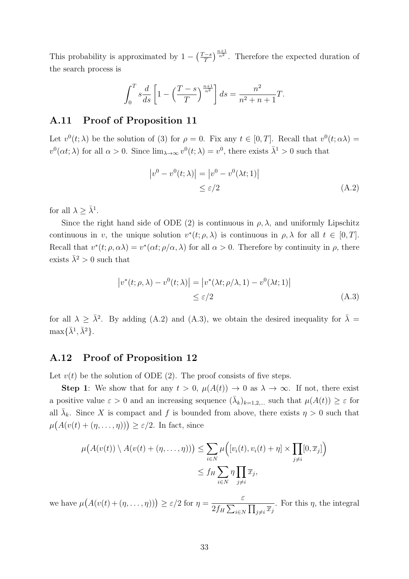This probability is approximated by  $1 - \left(\frac{T-s}{T}\right)$  $\frac{m-1}{T}$ , Therefore the expected duration of the search process is

$$
\int_0^T s \frac{d}{ds} \left[ 1 - \left( \frac{T - s}{T} \right)^{\frac{n+1}{n^2}} \right] ds = \frac{n^2}{n^2 + n + 1} T.
$$

### **A.11 Proof of Proposition 11**

Let  $v^0(t; \lambda)$  be the solution of (3) for  $\rho = 0$ . Fix any  $t \in [0, T]$ . Recall that  $v^0(t; \alpha \lambda) =$  $v^0(\alpha t; \lambda)$  for all  $\alpha > 0$ . Since  $\lim_{\lambda \to \infty} v^0(t; \lambda) = v^0$ , there exists  $\overline{\lambda}^1 > 0$  such that

$$
|v^{0} - v^{0}(t; \lambda)| = |v^{0} - v^{0}(\lambda t; 1)|
$$
  
\n
$$
\leq \varepsilon/2
$$
\n(A.2)

for all  $\lambda \geq \overline{\lambda}^1$ .

Since the right hand side of ODE (2) is continuous in  $\rho$ ,  $\lambda$ , and uniformly Lipschitz continuous in *v*, the unique solution  $v^*(t; \rho, \lambda)$  is continuous in  $\rho, \lambda$  for all  $t \in [0, T]$ . Recall that  $v^*(t; \rho, \alpha \lambda) = v^*(\alpha t; \rho/\alpha, \lambda)$  for all  $\alpha > 0$ . Therefore by continuity in  $\rho$ , there exists  $\bar{\lambda}^2 > 0$  such that

$$
\left|v^*(t;\rho,\lambda) - v^0(t;\lambda)\right| = \left|v^*(\lambda t;\rho/\lambda,1) - v^0(\lambda t;1)\right|
$$
  
\$\leq \varepsilon/2\$ (A.3)

for all  $\lambda \geq \bar{\lambda}^2$ . By adding (A.2) and (A.3), we obtain the desired inequality for  $\bar{\lambda} =$  $\max{\{\bar{\lambda}^1, \bar{\lambda}^2\}}$ .

### **A.12 Proof of Proposition 12**

Let  $v(t)$  be the solution of ODE (2). The proof consists of five steps.

**Step 1**: We show that for any  $t > 0$ ,  $\mu(A(t)) \rightarrow 0$  as  $\lambda \rightarrow \infty$ . If not, there exist a positive value  $\varepsilon > 0$  and an increasing sequence  $(\bar{\lambda}_k)_{k=1,2,...}$  such that  $\mu(A(t)) \geq \varepsilon$  for all  $\bar{\lambda}_k$ . Since *X* is compact and *f* is bounded from above, there exists  $\eta > 0$  such that  $\mu(A(v(t) + (\eta, \ldots, \eta))) \geq \varepsilon/2$ . In fact, since

$$
\mu(A(v(t)) \setminus A(v(t) + (\eta, \dots, \eta))) \leq \sum_{i \in N} \mu([v_i(t), v_i(t) + \eta] \times \prod_{j \neq i} [0, \overline{x}_j])
$$
  

$$
\leq f_H \sum_{i \in N} \eta \prod_{j \neq i} \overline{x}_j,
$$

we have  $\mu(A(v(t) + (\eta, \dots, \eta))) \geq \varepsilon/2$  for  $\eta =$ *ε*  $\overline{2f_H\sum_{i\in N}\prod_{j\neq i}\overline{x}_j}$ . For this  $\eta$ , the integral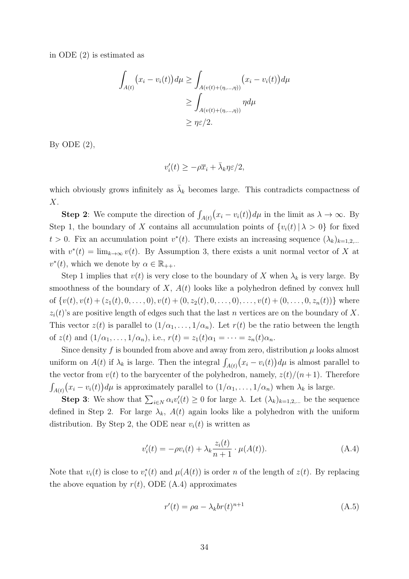in ODE (2) is estimated as

$$
\int_{A(t)} (x_i - v_i(t)) d\mu \ge \int_{A(v(t) + (\eta, \dots, \eta))} (x_i - v_i(t)) d\mu
$$
  
\n
$$
\ge \int_{A(v(t) + (\eta, \dots, \eta))} \eta d\mu
$$
  
\n
$$
\ge \eta \varepsilon / 2.
$$

By ODE  $(2)$ ,

$$
v_i'(t) \ge -\rho \overline{x}_i + \overline{\lambda}_k \eta \varepsilon / 2,
$$

which obviously grows infinitely as  $\bar{\lambda}_k$  becomes large. This contradicts compactness of *X*.

**Step 2**: We compute the direction of  $\int_{A(t)} (x_i - v_i(t)) d\mu$  in the limit as  $\lambda \to \infty$ . By Step 1, the boundary of *X* contains all accumulation points of  $\{v_i(t) | \lambda > 0\}$  for fixed  $t > 0$ . Fix an accumulation point  $v^*(t)$ . There exists an increasing sequence  $(\lambda_k)_{k=1,2,...}$ with  $v^*(t) = \lim_{k \to \infty} v(t)$ . By Assumption 3, there exists a unit normal vector of *X* at  $v^*(t)$ , which we denote by  $\alpha \in \mathbb{R}_{++}$ .

Step 1 implies that  $v(t)$  is very close to the boundary of X when  $\lambda_k$  is very large. By smoothness of the boundary of  $X$ ,  $A(t)$  looks like a polyhedron defined by convex hull of  $\{v(t), v(t) + (z_1(t), 0, \ldots, 0), v(t) + (0, z_2(t), 0, \ldots, 0), \ldots, v(t) + (0, \ldots, 0, z_n(t))\}$  where  $z_i(t)$ 's are positive length of edges such that the last *n* vertices are on the boundary of *X*. This vector  $z(t)$  is parallel to  $(1/\alpha_1, \ldots, 1/\alpha_n)$ . Let  $r(t)$  be the ratio between the length of  $z(t)$  and  $(1/\alpha_1, \ldots, 1/\alpha_n)$ , i.e.,  $r(t) = z_1(t)\alpha_1 = \cdots = z_n(t)\alpha_n$ .

Since density  $f$  is bounded from above and away from zero, distribution  $\mu$  looks almost uniform on  $A(t)$  if  $\lambda_k$  is large. Then the integral  $\int_{A(t)} (x_i - v_i(t)) d\mu$  is almost parallel to the vector from  $v(t)$  to the barycenter of the polyhedron, namely,  $z(t)/(n+1)$ . Therefore  $\int_{A(t)} (x_i - v_i(t)) d\mu$  is approximately parallel to  $(1/\alpha_1, \ldots, 1/\alpha_n)$  when  $\lambda_k$  is large.

**Step 3**: We show that  $\sum_{i \in N} \alpha_i v'_i(t) \geq 0$  for large  $\lambda$ . Let  $(\lambda_k)_{k=1,2,...}$  be the sequence defined in Step 2. For large  $\lambda_k$ ,  $A(t)$  again looks like a polyhedron with the uniform distribution. By Step 2, the ODE near  $v_i(t)$  is written as

$$
v_i'(t) = -\rho v_i(t) + \lambda_k \frac{z_i(t)}{n+1} \cdot \mu(A(t)).
$$
\n(A.4)

Note that  $v_i(t)$  is close to  $v_i^*(t)$  and  $\mu(A(t))$  is order *n* of the length of  $z(t)$ . By replacing the above equation by  $r(t)$ , ODE (A.4) approximates

$$
r'(t) = \rho a - \lambda_k br(t)^{n+1}
$$
\n(A.5)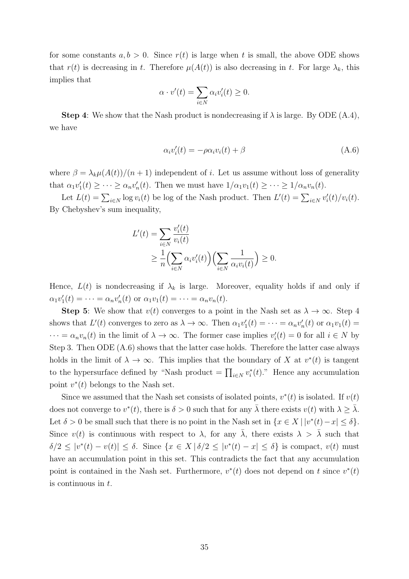for some constants  $a, b > 0$ . Since  $r(t)$  is large when t is small, the above ODE shows that  $r(t)$  is decreasing in *t*. Therefore  $\mu(A(t))$  is also decreasing in *t*. For large  $\lambda_k$ , this implies that

$$
\alpha \cdot v'(t) = \sum_{i \in N} \alpha_i v'_i(t) \ge 0.
$$

**Step 4**: We show that the Nash product is nondecreasing if  $\lambda$  is large. By ODE (A.4), we have

$$
\alpha_i v_i'(t) = -\rho \alpha_i v_i(t) + \beta \tag{A.6}
$$

where  $\beta = \lambda_k \mu(A(t))/(n+1)$  independent of *i*. Let us assume without loss of generality that  $\alpha_1 v_1'(t) \geq \cdots \geq \alpha_n v_n'(t)$ . Then we must have  $1/\alpha_1 v_1(t) \geq \cdots \geq 1/\alpha_n v_n(t)$ .

Let  $L(t) = \sum_{i \in N} \log v_i(t)$  be log of the Nash product. Then  $L'(t) = \sum_{i \in N} v'_i(t)/v_i(t)$ . By Chebyshev's sum inequality,

$$
L'(t) = \sum_{i \in N} \frac{v'_i(t)}{v_i(t)}
$$
  
 
$$
\geq \frac{1}{n} \Biggl(\sum_{i \in N} \alpha_i v'_i(t)\Biggr) \Biggl(\sum_{i \in N} \frac{1}{\alpha_i v_i(t)}\Biggr) \geq 0.
$$

Hence,  $L(t)$  is nondecreasing if  $\lambda_k$  is large. Moreover, equality holds if and only if  $\alpha_1 v'_1(t) = \cdots = \alpha_n v'_n(t) \text{ or } \alpha_1 v_1(t) = \cdots = \alpha_n v_n(t).$ 

**Step 5**: We show that  $v(t)$  converges to a point in the Nash set as  $\lambda \to \infty$ . Step 4 shows that  $L'(t)$  converges to zero as  $\lambda \to \infty$ . Then  $\alpha_1 v'_1(t) = \cdots = \alpha_n v'_n(t)$  or  $\alpha_1 v_1(t) =$  $\cdots = \alpha_n v_n(t)$  in the limit of  $\lambda \to \infty$ . The former case implies  $v_i'(t) = 0$  for all  $i \in N$  by Step 3. Then ODE (A.6) shows that the latter case holds. Therefore the latter case always holds in the limit of  $\lambda \to \infty$ . This implies that the boundary of *X* at  $v^*(t)$  is tangent to the hypersurface defined by "Nash product =  $\prod_{i \in N} v_i^*(t)$ ." Hence any accumulation point  $v^*(t)$  belongs to the Nash set.

Since we assumed that the Nash set consists of isolated points,  $v^*(t)$  is isolated. If  $v(t)$ does not converge to  $v^*(t)$ , there is  $\delta > 0$  such that for any  $\overline{\lambda}$  there exists  $v(t)$  with  $\lambda \geq \overline{\lambda}$ . Let  $\delta > 0$  be small such that there is no point in the Nash set in  $\{x \in X \mid |v^*(t) - x| \leq \delta\}.$ Since  $v(t)$  is continuous with respect to  $\lambda$ , for any  $\overline{\lambda}$ , there exists  $\lambda > \overline{\lambda}$  such that  $\delta/2 \leq |v^*(t) - v(t)| \leq \delta$ . Since  $\{x \in X \mid \delta/2 \leq |v^*(t) - x| \leq \delta\}$  is compact,  $v(t)$  must have an accumulation point in this set. This contradicts the fact that any accumulation point is contained in the Nash set. Furthermore,  $v^*(t)$  does not depend on *t* since  $v^*(t)$ is continuous in *t*.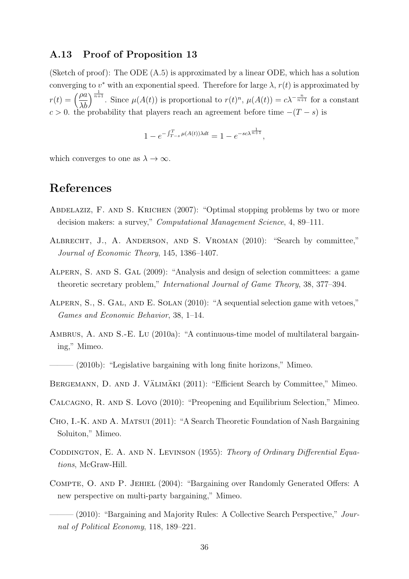### **A.13 Proof of Proposition 13**

(Sketch of proof): The ODE (A.5) is approximated by a linear ODE, which has a solution converging to  $v^*$  with an exponential speed. Therefore for large  $\lambda$ ,  $r(t)$  is approximated by  $r(t) = \left(\frac{\rho a}{\lambda t}\right)$ *λb*  $\int_{0}^{\frac{1}{n+1}}$ . Since  $\mu(A(t))$  is proportional to  $r(t)^{n}$ ,  $\mu(A(t)) = c\lambda^{-\frac{n}{n+1}}$  for a constant  $c > 0$ . the probability that players reach an agreement before time  $-(T - s)$  is

$$
1 - e^{-\int_{T-s}^{T} \mu(A(t))\lambda dt} = 1 - e^{-sc\lambda^{\frac{1}{n+1}}},
$$

which converges to one as  $\lambda \to \infty$ .

# **References**

- Abdelaziz, F. and S. Krichen (2007): "Optimal stopping problems by two or more decision makers: a survey," *Computational Management Science*, 4, 89–111.
- Albrecht, J., A. Anderson, and S. Vroman (2010): "Search by committee," *Journal of Economic Theory*, 145, 1386–1407.
- Alpern, S. and S. Gal (2009): "Analysis and design of selection committees: a game theoretic secretary problem," *International Journal of Game Theory*, 38, 377–394.
- Alpern, S., S. Gal, and E. Solan (2010): "A sequential selection game with vetoes," *Games and Economic Behavior*, 38, 1–14.
- AMBRUS, A. AND S.-E. LU (2010a): "A continuous-time model of multilateral bargaining," Mimeo.

 $-$  (2010b): "Legislative bargaining with long finite horizons," Mimeo.

- BERGEMANN, D. AND J. VÄLIMÄKI (2011): "Efficient Search by Committee," Mimeo.
- Calcagno, R. and S. Lovo (2010): "Preopening and Equilibrium Selection," Mimeo.
- Cho, I.-K. and A. Matsui (2011): "A Search Theoretic Foundation of Nash Bargaining Soluiton," Mimeo.
- CODDINGTON, E. A. AND N. LEVINSON (1955): *Theory of Ordinary Differential Equations*, McGraw-Hill.
- Compte, O. and P. Jehiel (2004): "Bargaining over Randomly Generated Offers: A new perspective on multi-party bargaining," Mimeo.

(2010): "Bargaining and Majority Rules: A Collective Search Perspective," *Journal of Political Economy*, 118, 189–221.